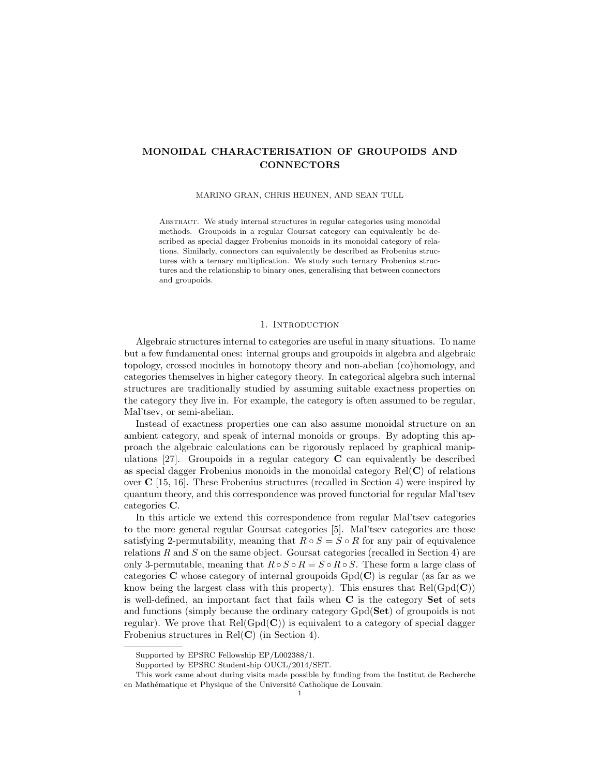# MONOIDAL CHARACTERISATION OF GROUPOIDS AND CONNECTORS

MARINO GRAN, CHRIS HEUNEN, AND SEAN TULL

ABSTRACT. We study internal structures in regular categories using monoidal methods. Groupoids in a regular Goursat category can equivalently be described as special dagger Frobenius monoids in its monoidal category of relations. Similarly, connectors can equivalently be described as Frobenius structures with a ternary multiplication. We study such ternary Frobenius structures and the relationship to binary ones, generalising that between connectors and groupoids.

## 1. Introduction

Algebraic structures internal to categories are useful in many situations. To name but a few fundamental ones: internal groups and groupoids in algebra and algebraic topology, crossed modules in homotopy theory and non-abelian (co)homology, and categories themselves in higher category theory. In categorical algebra such internal structures are traditionally studied by assuming suitable exactness properties on the category they live in. For example, the category is often assumed to be regular, Mal'tsev, or semi-abelian.

Instead of exactness properties one can also assume monoidal structure on an ambient category, and speak of internal monoids or groups. By adopting this approach the algebraic calculations can be rigorously replaced by graphical manipulations  $[27]$ . Groupoids in a regular category **C** can equivalently be described as special dagger Frobenius monoids in the monoidal category  $Rel(C)$  of relations over  $C$  [15, 16]. These Frobenius structures (recalled in Section 4) were inspired by quantum theory, and this correspondence was proved functorial for regular Mal'tsev categories C.

In this article we extend this correspondence from regular Mal'tsev categories to the more general regular Goursat categories [5]. Mal'tsev categories are those satisfying 2-permutability, meaning that  $R \circ S = S \circ R$  for any pair of equivalence relations  $R$  and  $S$  on the same object. Goursat categories (recalled in Section 4) are only 3-permutable, meaning that  $R \circ S \circ R = S \circ R \circ S$ . These form a large class of categories **C** whose category of internal groupoids  $Gpd(C)$  is regular (as far as we know being the largest class with this property). This ensures that  $Rel(Gpd(C))$ is well-defined, an important fact that fails when C is the category Set of sets and functions (simply because the ordinary category Gpd(Set) of groupoids is not regular). We prove that  $Rel(Gpd(\mathbf{C}))$  is equivalent to a category of special dagger Frobenius structures in  $Rel(C)$  (in Section 4).

Supported by EPSRC Fellowship EP/L002388/1.

Supported by EPSRC Studentship OUCL/2014/SET.

This work came about during visits made possible by funding from the Institut de Recherche en Mathématique et Physique of the Université Catholique de Louvain.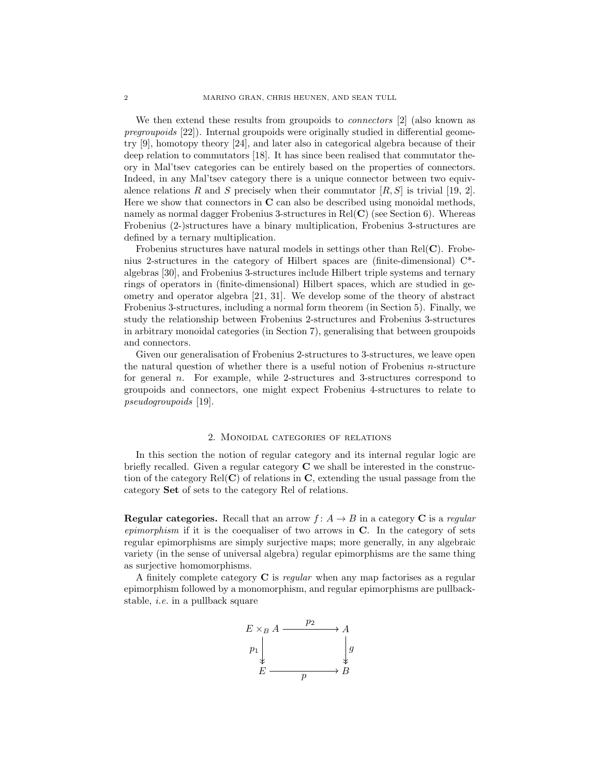We then extend these results from groupoids to *connectors* [2] (also known as pregroupoids [22]). Internal groupoids were originally studied in differential geometry [9], homotopy theory [24], and later also in categorical algebra because of their deep relation to commutators [18]. It has since been realised that commutator theory in Mal'tsev categories can be entirely based on the properties of connectors. Indeed, in any Mal'tsev category there is a unique connector between two equivalence relations R and S precisely when their commutator  $[R, S]$  is trivial [19, 2]. Here we show that connectors in  $C$  can also be described using monoidal methods, namely as normal dagger Frobenius 3-structures in  $Rel(C)$  (see Section 6). Whereas Frobenius (2-)structures have a binary multiplication, Frobenius 3-structures are defined by a ternary multiplication.

Frobenius structures have natural models in settings other than  $Rel(C)$ . Frobenius 2-structures in the category of Hilbert spaces are (finite-dimensional) C\* algebras [30], and Frobenius 3-structures include Hilbert triple systems and ternary rings of operators in (finite-dimensional) Hilbert spaces, which are studied in geometry and operator algebra [21, 31]. We develop some of the theory of abstract Frobenius 3-structures, including a normal form theorem (in Section 5). Finally, we study the relationship between Frobenius 2-structures and Frobenius 3-structures in arbitrary monoidal categories (in Section 7), generalising that between groupoids and connectors.

Given our generalisation of Frobenius 2-structures to 3-structures, we leave open the natural question of whether there is a useful notion of Frobenius n-structure for general n. For example, while 2-structures and 3-structures correspond to groupoids and connectors, one might expect Frobenius 4-structures to relate to pseudogroupoids [19].

# 2. Monoidal categories of relations

In this section the notion of regular category and its internal regular logic are briefly recalled. Given a regular category C we shall be interested in the construction of the category  $Rel(C)$  of relations in C, extending the usual passage from the category Set of sets to the category Rel of relations.

**Regular categories.** Recall that an arrow  $f: A \rightarrow B$  in a category C is a regular epimorphism if it is the coequaliser of two arrows in  $C$ . In the category of sets regular epimorphisms are simply surjective maps; more generally, in any algebraic variety (in the sense of universal algebra) regular epimorphisms are the same thing as surjective homomorphisms.

A finitely complete category  $C$  is *regular* when any map factorises as a regular epimorphism followed by a monomorphism, and regular epimorphisms are pullbackstable, i.e. in a pullback square

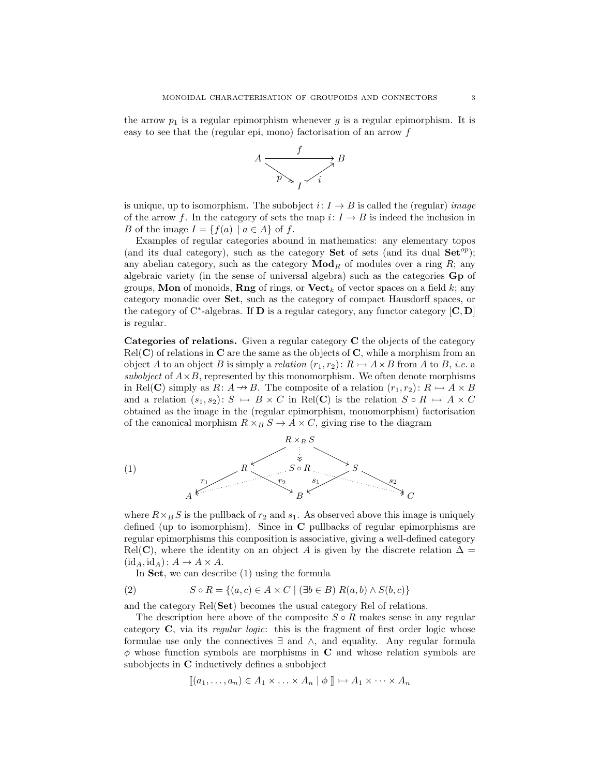the arrow  $p_1$  is a regular epimorphism whenever g is a regular epimorphism. It is easy to see that the (regular epi, mono) factorisation of an arrow  $f$ 



is unique, up to isomorphism. The subobject  $i: I \rightarrow B$  is called the (regular) *image* of the arrow f. In the category of sets the map  $i: I \to B$  is indeed the inclusion in B of the image  $I = \{f(a) \mid a \in A\}$  of f.

Examples of regular categories abound in mathematics: any elementary topos (and its dual category), such as the category **Set** of sets (and its dual  $\mathbf{Set}^{op}$ ); any abelian category, such as the category  $\mathbf{Mod}_R$  of modules over a ring  $R$ ; any algebraic variety (in the sense of universal algebra) such as the categories Gp of groups, **Mon** of monoids, **Rng** of rings, or  $\textbf{Vect}_k$  of vector spaces on a field k; any category monadic over Set, such as the category of compact Hausdorff spaces, or the category of C<sup>\*</sup>-algebras. If **D** is a regular category, any functor category  $[C, D]$ is regular.

Categories of relations. Given a regular category C the objects of the category  $Rel(C)$  of relations in C are the same as the objects of C, while a morphism from an object A to an object B is simply a relation  $(r_1, r_2): R \rightarrow A \times B$  from A to B, *i.e.* a subobject of  $A \times B$ , represented by this monomorphism. We often denote morphisms in Rel(C) simply as  $R: A \rightarrow B$ . The composite of a relation  $(r_1, r_2): R \rightarrow A \times B$ and a relation  $(s_1, s_2): S \rightarrow B \times C$  in Rel(C) is the relation  $S \circ R \rightarrow A \times C$ obtained as the image in the (regular epimorphism, monomorphism) factorisation of the canonical morphism  $R \times_B S \to A \times C$ , giving rise to the diagram



where  $R \times_B S$  is the pullback of  $r_2$  and  $s_1$ . As observed above this image is uniquely defined (up to isomorphism). Since in C pullbacks of regular epimorphisms are regular epimorphisms this composition is associative, giving a well-defined category Rel(C), where the identity on an object A is given by the discrete relation  $\Delta =$  $(id_A, id_A): A \to A \times A$ .

In Set, we can describe (1) using the formula

(2) 
$$
S \circ R = \{(a, c) \in A \times C \mid (\exists b \in B) R(a, b) \wedge S(b, c)\}
$$

and the category Rel(Set) becomes the usual category Rel of relations.

The description here above of the composite  $S \circ R$  makes sense in any regular category  $C$ , via its *regular logic*: this is the fragment of first order logic whose formulae use only the connectives ∃ and ∧, and equality. Any regular formula  $\phi$  whose function symbols are morphisms in C and whose relation symbols are subobjects in C inductively defines a subobject

$$
[\![ (a_1,\ldots,a_n) \in A_1 \times \ldots \times A_n \mid \phi \ ]\!] \rightarrowtail A_1 \times \cdots \times A_n
$$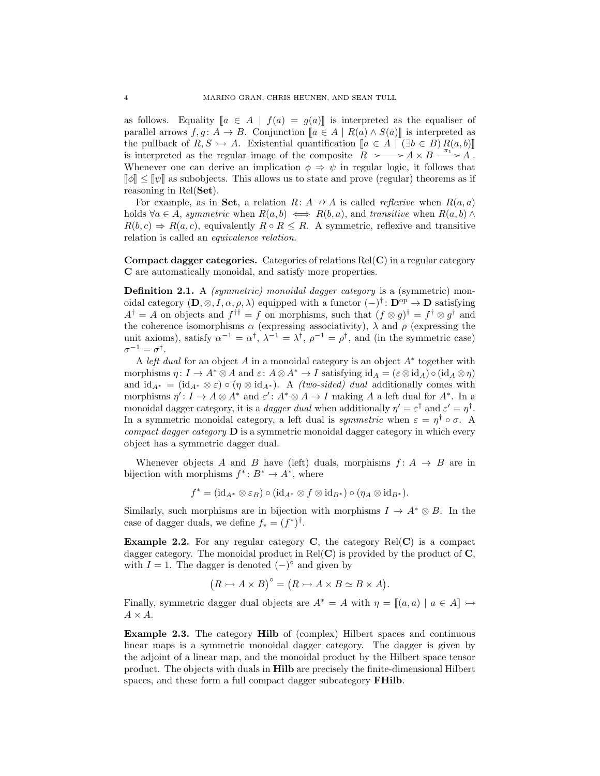as follows. Equality  $[a \in A \mid f(a) = g(a)]$  is interpreted as the equaliser of parallel arrows  $f, g : A \to B$ . Conjunction  $[a \in A \mid R(a) \wedge S(a)]$  is interpreted as the pullback of  $R, S \rightarrow A$ . Existential quantification  $[a \in A \mid (\exists b \in B) R(a, b)]$ is interpreted as the regular image of the composite  $R \rightarrow A \times B \rightarrow A \times B$ . Whenever one can derive an implication  $\phi \Rightarrow \psi$  in regular logic, it follows that  $\llbracket \phi \rrbracket \leq \llbracket \psi \rrbracket$  as subobjects. This allows us to state and prove (regular) theorems as if reasoning in Rel(Set).

For example, as in Set, a relation  $R: A \rightarrow A$  is called *reflexive* when  $R(a, a)$ holds  $\forall a \in A$ , symmetric when  $R(a, b) \iff R(b, a)$ , and transitive when  $R(a, b) \land$  $R(b, c) \Rightarrow R(a, c)$ , equivalently  $R \circ R \leq R$ . A symmetric, reflexive and transitive relation is called an equivalence relation.

**Compact dagger categories.** Categories of relations  $Rel(C)$  in a regular category C are automatically monoidal, and satisfy more properties.

**Definition 2.1.** A *(symmetric) monoidal dagger category* is a *(symmetric) mon*oidal category  $(D, \otimes, I, \alpha, \rho, \lambda)$  equipped with a functor  $(-)^{\dagger} \colon \mathbf{D}^{\text{op}} \to \mathbf{D}$  satisfying  $A^{\dagger} = A$  on objects and  $f^{\dagger \dagger} = f$  on morphisms, such that  $(f \otimes g)^{\dagger} = f^{\dagger} \otimes g^{\dagger}$  and the coherence isomorphisms  $\alpha$  (expressing associativity),  $\lambda$  and  $\rho$  (expressing the unit axioms), satisfy  $\alpha^{-1} = \alpha^{\dagger}, \lambda^{-1} = \lambda^{\dagger}, \rho^{-1} = \rho^{\dagger}$ , and (in the symmetric case)  $\sigma^{-1}=\sigma^{\dagger}.$ 

A left dual for an object  $A$  in a monoidal category is an object  $A^*$  together with morphisms  $\eta: I \to A^* \otimes A$  and  $\varepsilon: A \otimes A^* \to I$  satisfying  $\mathrm{id}_A = (\varepsilon \otimes \mathrm{id}_A) \circ (\mathrm{id}_A \otimes \eta)$ and  $\mathrm{id}_{A^*} = (\mathrm{id}_{A^*} \otimes \varepsilon) \circ (\eta \otimes \mathrm{id}_{A^*})$ . A *(two-sided) dual* additionally comes with morphisms  $\eta' : I \to A \otimes A^*$  and  $\varepsilon' : A^* \otimes A \to I$  making A a left dual for  $A^*$ . In a monoidal dagger category, it is a *dagger dual* when additionally  $\eta' = \varepsilon^{\dagger}$  and  $\varepsilon' = \eta^{\dagger}$ . In a symmetric monoidal category, a left dual is *symmetric* when  $\varepsilon = \eta^{\dagger} \circ \sigma$ . A *compact dagger category*  $\mathbf{D}$  is a symmetric monoidal dagger category in which every object has a symmetric dagger dual.

Whenever objects A and B have (left) duals, morphisms  $f: A \rightarrow B$  are in bijection with morphisms  $f^*: B^* \to A^*$ , where

 $f^* = (\mathrm{id}_{A^*} \otimes \varepsilon_B) \circ (\mathrm{id}_{A^*} \otimes f \otimes \mathrm{id}_{B^*}) \circ (\eta_A \otimes \mathrm{id}_{B^*}).$ 

Similarly, such morphisms are in bijection with morphisms  $I \to A^* \otimes B$ . In the case of dagger duals, we define  $f_* = (f^*)^{\dagger}$ .

**Example 2.2.** For any regular category  $C$ , the category  $Rel(C)$  is a compact dagger category. The monoidal product in  $Rel(C)$  is provided by the product of  $C$ , with  $I = 1$ . The dagger is denoted  $(-)^\circ$  and given by

$$
(R \rightarrowtail A \times B)^{\circ} = (R \rightarrowtail A \times B \simeq B \times A).
$$

Finally, symmetric dagger dual objects are  $A^* = A$  with  $\eta = [(a, a) | a \in A] \rightarrow \infty$  $A \times A$ .

Example 2.3. The category Hilb of (complex) Hilbert spaces and continuous linear maps is a symmetric monoidal dagger category. The dagger is given by the adjoint of a linear map, and the monoidal product by the Hilbert space tensor product. The objects with duals in Hilb are precisely the finite-dimensional Hilbert spaces, and these form a full compact dagger subcategory FHilb.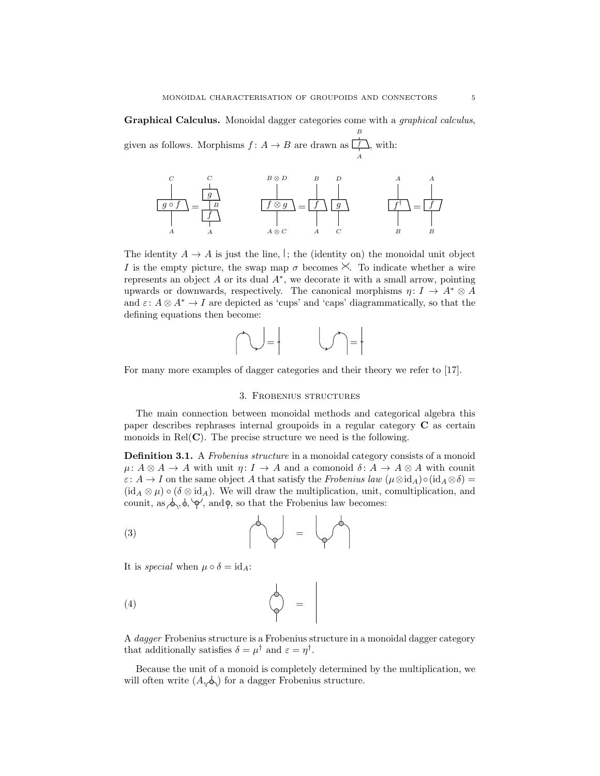Graphical Calculus. Monoidal dagger categories come with a graphical calculus, B

given as follows. Morphisms  $f: A \to B$  are drawn as  $\Box$ A , with:



The identity  $A \to A$  is just the line,  $\vert$ ; the (identity on) the monoidal unit object I is the empty picture, the swap map  $\sigma$  becomes  $\times$ . To indicate whether a wire represents an object  $A$  or its dual  $A^*$ , we decorate it with a small arrow, pointing upwards or downwards, respectively. The canonical morphisms  $\eta: I \to A^* \otimes A$ and  $\varepsilon: A \otimes A^* \to I$  are depicted as 'cups' and 'caps' diagrammatically, so that the defining equations then become:

$$
\bigcap_{i=1}^{n} \mathbb{Z} \left[ \bigcup_{i=1}^{n} \mathbb{Z} \right] = \left\{ \bigcup_{i=1}^{n} \mathbb{Z} \right\}
$$

For many more examples of dagger categories and their theory we refer to [17].

#### 3. Frobenius structures

The main connection between monoidal methods and categorical algebra this paper describes rephrases internal groupoids in a regular category C as certain monoids in  $Rel(C)$ . The precise structure we need is the following.

**Definition 3.1.** A Frobenius structure in a monoidal category consists of a monoid  $\mu: A \otimes A \to A$  with unit  $\eta: I \to A$  and a comonoid  $\delta: A \to A \otimes A$  with counit  $\varepsilon: A \to I$  on the same object A that satisfy the Frobenius law  $(\mu \otimes id_A) \circ (id_A \otimes \delta) =$  $(id_A \otimes \mu) \circ (\delta \otimes id_A)$ . We will draw the multiplication, unit, comultiplication, and counit, as  $\phi, \phi, \phi'$ , and  $\phi$ , so that the Frobenius law becomes:

$$
\begin{pmatrix} 3 \end{pmatrix} = \begin{pmatrix} 4 \end{pmatrix}
$$

It is special when  $\mu \circ \delta = id_A$ :

$$
\begin{pmatrix} 4 \end{pmatrix} =
$$

A dagger Frobenius structure is a Frobenius structure in a monoidal dagger category that additionally satisfies  $\delta = \mu^{\dagger}$  and  $\varepsilon = \eta^{\dagger}$ .

Because the unit of a monoid is completely determined by the multiplication, we will often write  $(A, \phi)$  for a dagger Frobenius structure.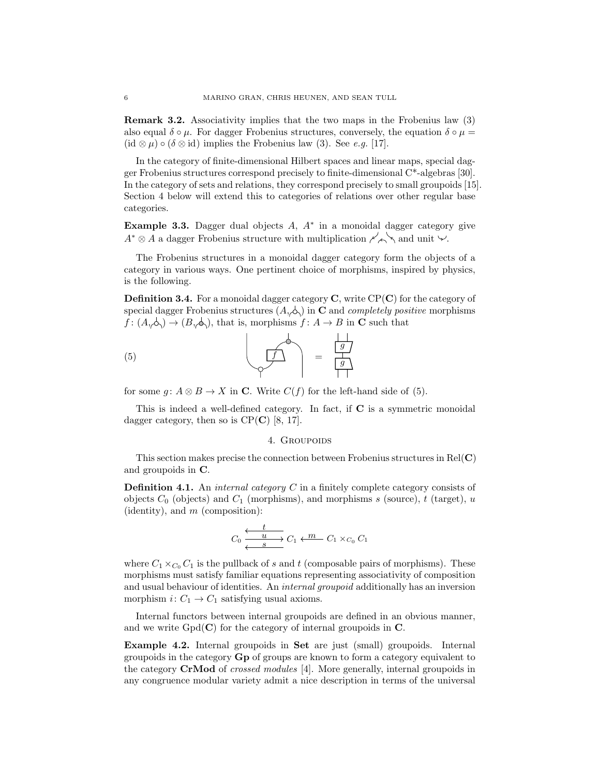Remark 3.2. Associativity implies that the two maps in the Frobenius law (3) also equal  $\delta \circ \mu$ . For dagger Frobenius structures, conversely, the equation  $\delta \circ \mu =$ (id ⊗  $\mu$ ) ∘ ( $\delta \otimes id$ ) implies the Frobenius law (3). See *e.g.* [17].

In the category of finite-dimensional Hilbert spaces and linear maps, special dagger Frobenius structures correspond precisely to finite-dimensional C\*-algebras [30]. In the category of sets and relations, they correspond precisely to small groupoids [15]. Section 4 below will extend this to categories of relations over other regular base categories.

Example 3.3. Dagger dual objects  $A, A^*$  in a monoidal dagger category give  $A^* \otimes A$  a dagger Frobenius structure with multiplication  $\swarrow \searrow$  and unit  $\vee$ .

The Frobenius structures in a monoidal dagger category form the objects of a category in various ways. One pertinent choice of morphisms, inspired by physics, is the following.

**Definition 3.4.** For a monoidal dagger category  $C$ , write  $CP(C)$  for the category of special dagger Frobenius structures  $(A, \▵)$  in **C** and *completely positive* morphisms  $f: (A, \phi) \to (B, \phi)$ , that is, morphisms  $f: A \to B$  in C such that

$$
\left(\begin{array}{c}\n\hline\n\end{array}\right) = \frac{\frac{1}{g}}{\frac{1}{g}}
$$

for some  $g: A \otimes B \to X$  in C. Write  $C(f)$  for the left-hand side of (5).

This is indeed a well-defined category. In fact, if  $C$  is a symmetric monoidal dagger category, then so is  $CP(\mathbf{C})$  [8, 17].

#### 4. GROUPOIDS

This section makes precise the connection between Frobenius structures in  $Rel(C)$ and groupoids in C.

**Definition 4.1.** An *internal category*  $C$  in a finitely complete category consists of objects  $C_0$  (objects) and  $C_1$  (morphisms), and morphisms s (source), t (target), u (identity), and  $m$  (composition):

$$
C_0 \xleftarrow{\begin{array}{c}\n t \\
 \longleftarrow \\
 \longleftarrow \\
 s\n\end{array}} C_1 \xleftarrow{\begin{array}{c}\n m \\
 \longleftarrow \\
 C_1 \times_{C_0} C_1\n\end{array}}
$$

where  $C_1 \times_{C_0} C_1$  is the pullback of s and t (composable pairs of morphisms). These morphisms must satisfy familiar equations representing associativity of composition and usual behaviour of identities. An internal groupoid additionally has an inversion morphism  $i: C_1 \rightarrow C_1$  satisfying usual axioms.

Internal functors between internal groupoids are defined in an obvious manner, and we write  $Gpd(\mathbf{C})$  for the category of internal groupoids in  $\mathbf{C}$ .

Example 4.2. Internal groupoids in Set are just (small) groupoids. Internal groupoids in the category Gp of groups are known to form a category equivalent to the category CrMod of crossed modules [4]. More generally, internal groupoids in any congruence modular variety admit a nice description in terms of the universal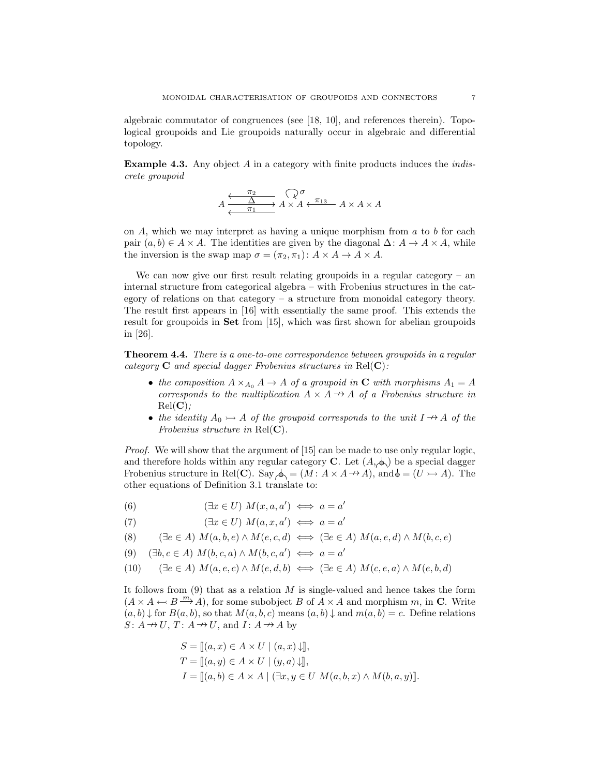algebraic commutator of congruences (see [18, 10], and references therein). Topological groupoids and Lie groupoids naturally occur in algebraic and differential topology.

**Example 4.3.** Any object  $\vec{A}$  in a category with finite products induces the *indis*crete groupoid

$$
A \xrightarrow{\pi_2} A \times A \xleftarrow{\pi_2} A \times A
$$

on  $A$ , which we may interpret as having a unique morphism from  $a$  to  $b$  for each pair  $(a, b) \in A \times A$ . The identities are given by the diagonal  $\Delta: A \to A \times A$ , while the inversion is the swap map  $\sigma = (\pi_2, \pi_1): A \times A \rightarrow A \times A$ .

We can now give our first result relating groupoids in a regular category – an internal structure from categorical algebra – with Frobenius structures in the category of relations on that category – a structure from monoidal category theory. The result first appears in [16] with essentially the same proof. This extends the result for groupoids in Set from [15], which was first shown for abelian groupoids in [26].

Theorem 4.4. There is a one-to-one correspondence between groupoids in a regular category  $C$  and special dagger Frobenius structures in Rel $(C)$ :

- the composition  $A \times_{A_0} A \to A$  of a groupoid in C with morphisms  $A_1 = A$ corresponds to the multiplication  $A \times A \rightarrow A$  of a Frobenius structure in  $Rel(C)$ :
- the identity  $A_0 \rightarrow A$  of the groupoid corresponds to the unit  $I \rightarrow A$  of the Frobenius structure in  $Rel(C)$ .

Proof. We will show that the argument of [15] can be made to use only regular logic, and therefore holds within any regular category **C**. Let  $(A, \phi)$  be a special dagger Frobenius structure in Rel(C). Say  $\phi_1 = (M : A \times A \rightarrow A)$ , and  $\phi = (U \rightarrow A)$ . The other equations of Definition 3.1 translate to:

(6) 
$$
(\exists x \in U) M(x, a, a') \iff a = a'
$$

 $(\exists x \in U) M(a, x, a') \iff a = a'$ (7)

$$
(8) \qquad (\exists e \in A) \ M(a,b,e) \land M(e,c,d) \iff (\exists e \in A) \ M(a,e,d) \land M(b,c,e)
$$

 $(\exists b, c \in A) M(b, c, a) \land M(b, c, a') \iff a = a'$ (9)

(10) 
$$
(\exists e \in A) M(a, e, c) \land M(e, d, b) \iff (\exists e \in A) M(c, e, a) \land M(e, b, d)
$$

It follows from  $(9)$  that as a relation M is single-valued and hence takes the form  $(A \times A \leftarrow B \xrightarrow{m} A)$ , for some subobject B of  $A \times A$  and morphism m, in C. Write  $(a, b) \downarrow$  for  $B(a, b)$ , so that  $M(a, b, c)$  means  $(a, b) \downarrow$  and  $m(a, b) = c$ . Define relations  $S: A \rightarrow U$ ,  $T: A \rightarrow U$ , and  $I: A \rightarrow A$  by

$$
S = [[a, x) \in A \times U \mid (a, x) \downarrow]],
$$
  
\n
$$
T = [[a, y) \in A \times U \mid (y, a) \downarrow],
$$
  
\n
$$
I = [[a, b) \in A \times A \mid (\exists x, y \in U \ M(a, b, x) \land M(b, a, y)].
$$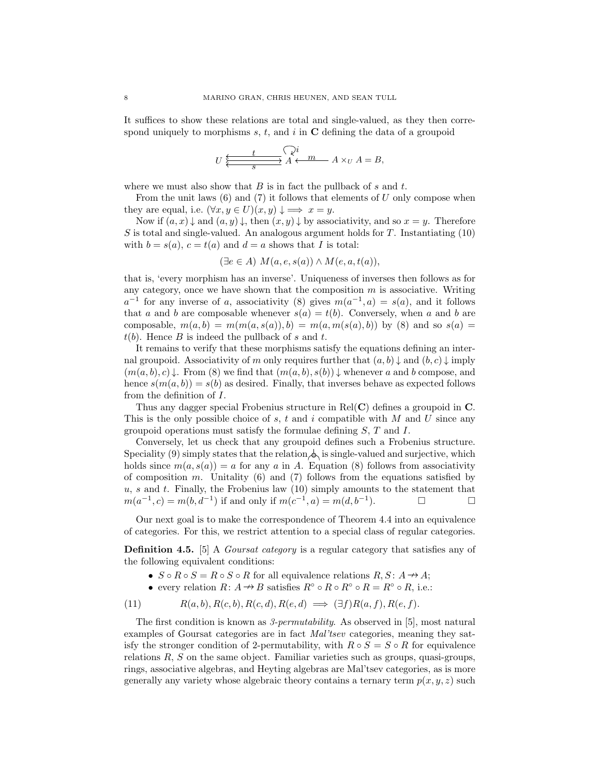It suffices to show these relations are total and single-valued, as they then correspond uniquely to morphisms s, t, and i in  $C$  defining the data of a groupoid

$$
U\xleftarrow{\underbrace{t\qquad\searrow i}}_S\overrightarrow{A\leftarrow m}\qquad A\times_U A=B,
$$

where we must also show that  $B$  is in fact the pullback of  $s$  and  $t$ .

From the unit laws  $(6)$  and  $(7)$  it follows that elements of U only compose when they are equal, i.e.  $(\forall x, y \in U)(x, y) \downarrow \implies x = y$ .

Now if  $(a, x) \downarrow$  and  $(a, y) \downarrow$ , then  $(x, y) \downarrow$  by associativity, and so  $x = y$ . Therefore S is total and single-valued. An analogous argument holds for  $T$ . Instantiating (10) with  $b = s(a)$ ,  $c = t(a)$  and  $d = a$  shows that I is total:

$$
(\exists e \in A) M(a, e, s(a)) \wedge M(e, a, t(a)),
$$

that is, 'every morphism has an inverse'. Uniqueness of inverses then follows as for any category, once we have shown that the composition  $m$  is associative. Writing  $a^{-1}$  for any inverse of a, associativity (8) gives  $m(a^{-1}, a) = s(a)$ , and it follows that a and b are composable whenever  $s(a) = t(b)$ . Conversely, when a and b are composable,  $m(a, b) = m(m(a, s(a)), b) = m(a, m(s(a), b))$  by (8) and so  $s(a) =$  $t(b)$ . Hence B is indeed the pullback of s and t.

It remains to verify that these morphisms satisfy the equations defining an internal groupoid. Associativity of m only requires further that  $(a, b) \downarrow$  and  $(b, c) \downarrow$  imply  $(m(a, b), c) \downarrow$ . From (8) we find that  $(m(a, b), s(b)) \downarrow$  whenever a and b compose, and hence  $s(m(a, b)) = s(b)$  as desired. Finally, that inverses behave as expected follows from the definition of I.

Thus any dagger special Frobenius structure in  $Rel(C)$  defines a groupoid in  $C$ . This is the only possible choice of s, t and i compatible with M and U since any groupoid operations must satisfy the formulae defining  $S, T$  and  $I$ .

Conversely, let us check that any groupoid defines such a Frobenius structure. Speciality (9) simply states that the relation  $\Diamond$  is single-valued and surjective, which holds since  $m(a, s(a)) = a$  for any a in A. Equation (8) follows from associativity of composition m. Unitality  $(6)$  and  $(7)$  follows from the equations satisfied by  $u, s$  and t. Finally, the Frobenius law  $(10)$  simply amounts to the statement that  $m(a^{-1}, c) = m(b, d^{-1})$  if and only if  $m(c^{-1}, a) = m(d, b^{-1})$ ).  $\qquad \qquad \Box$ 

Our next goal is to make the correspondence of Theorem 4.4 into an equivalence of categories. For this, we restrict attention to a special class of regular categories.

Definition 4.5. [5] A *Goursat category* is a regular category that satisfies any of the following equivalent conditions:

- $S \circ R \circ S = R \circ S \circ R$  for all equivalence relations  $R, S: A \rightarrow A$ ;
- every relation  $R: A \to B$  satisfies  $R^{\circ} \circ R \circ R^{\circ} \circ R = R^{\circ} \circ R$ , i.e.:

$$
(11) \t R(a,b), R(c,b), R(c,d), R(e,d) \implies (\exists f)R(a,f), R(e,f).
$$

The first condition is known as 3-permutability. As observed in [5], most natural examples of Goursat categories are in fact Mal'tsev categories, meaning they satisfy the stronger condition of 2-permutability, with  $R \circ S = S \circ R$  for equivalence relations  $R$ ,  $S$  on the same object. Familiar varieties such as groups, quasi-groups, rings, associative algebras, and Heyting algebras are Mal'tsev categories, as is more generally any variety whose algebraic theory contains a ternary term  $p(x, y, z)$  such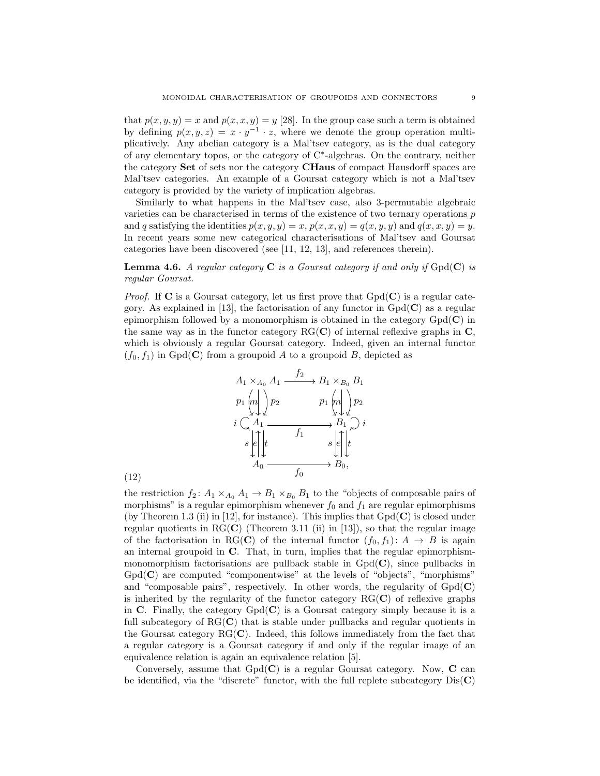that  $p(x, y, y) = x$  and  $p(x, x, y) = y$  [28]. In the group case such a term is obtained by defining  $p(x, y, z) = x \cdot y^{-1} \cdot z$ , where we denote the group operation multiplicatively. Any abelian category is a Mal'tsev category, as is the dual category of any elementary topos, or the category of C<sup>∗</sup> -algebras. On the contrary, neither the category Set of sets nor the category CHaus of compact Hausdorff spaces are Mal'tsev categories. An example of a Goursat category which is not a Mal'tsev category is provided by the variety of implication algebras.

Similarly to what happens in the Mal'tsev case, also 3-permutable algebraic varieties can be characterised in terms of the existence of two ternary operations  $p$ and q satisfying the identities  $p(x, y, y) = x$ ,  $p(x, x, y) = q(x, y, y)$  and  $q(x, x, y) = y$ . In recent years some new categorical characterisations of Mal'tsev and Goursat categories have been discovered (see [11, 12, 13], and references therein).

**Lemma 4.6.** A regular category  $C$  is a Goursat category if and only if  $Gpd(C)$  is regular Goursat.

*Proof.* If  $C$  is a Goursat category, let us first prove that  $Gpd(C)$  is a regular category. As explained in [13], the factorisation of any functor in  $Gpd(\mathbf{C})$  as a regular epimorphism followed by a monomorphism is obtained in the category  $Gpd(\mathbf{C})$  in the same way as in the functor category  $RG(C)$  of internal reflexive graphs in  $C$ , which is obviously a regular Goursat category. Indeed, given an internal functor  $(f_0, f_1)$  in Gpd(C) from a groupoid A to a groupoid B, depicted as



the restriction  $f_2: A_1 \times_{A_0} A_1 \rightarrow B_1 \times_{B_0} B_1$  to the "objects of composable pairs of morphisms" is a regular epimorphism whenever  $f_0$  and  $f_1$  are regular epimorphisms (by Theorem 1.3 (ii) in [12], for instance). This implies that  $Gpd(\mathbf{C})$  is closed under regular quotients in  $RG(C)$  (Theorem 3.11 (ii) in [13]), so that the regular image of the factorisation in RG(C) of the internal functor  $(f_0, f_1): A \to B$  is again an internal groupoid in C. That, in turn, implies that the regular epimorphismmonomorphism factorisations are pullback stable in  $Gpd(\mathbf{C})$ , since pullbacks in  $Gpd(\mathbf{C})$  are computed "componentwise" at the levels of "objects", "morphisms" and "composable pairs", respectively. In other words, the regularity of  $Gpd(\mathbf{C})$ is inherited by the regularity of the functor category  $RG(C)$  of reflexive graphs in C. Finally, the category  $Gpd(C)$  is a Goursat category simply because it is a full subcategory of  $\text{RG}(\mathbf{C})$  that is stable under pullbacks and regular quotients in the Goursat category  $RG(\mathbf{C})$ . Indeed, this follows immediately from the fact that a regular category is a Goursat category if and only if the regular image of an equivalence relation is again an equivalence relation [5].

Conversely, assume that  $Gpd(\mathbf{C})$  is a regular Goursat category. Now,  $\mathbf C$  can be identified, via the "discrete" functor, with the full replete subcategory  $Dis(C)$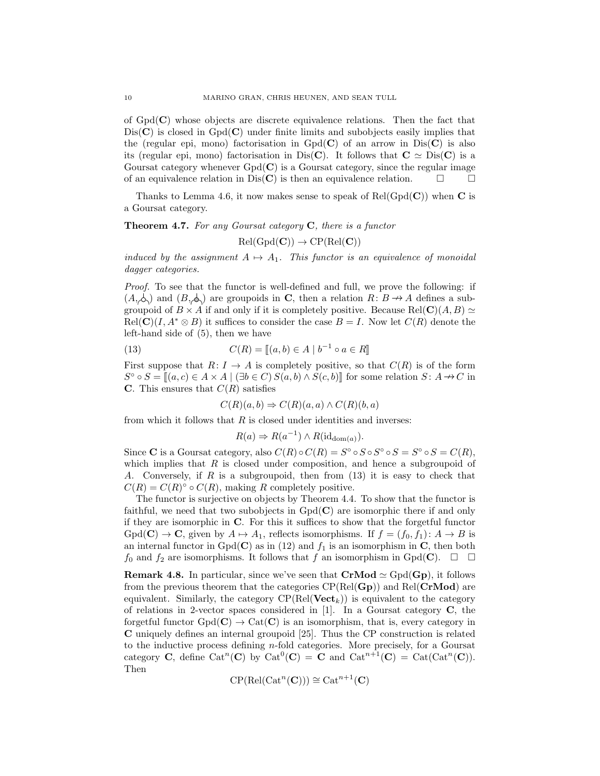of  $Gpd(\mathbf{C})$  whose objects are discrete equivalence relations. Then the fact that  $Dis(C)$  is closed in  $Gpd(C)$  under finite limits and subobjects easily implies that the (regular epi, mono) factorisation in  $Gpd(\mathbf{C})$  of an arrow in  $Dis(\mathbf{C})$  is also its (regular epi, mono) factorisation in Dis(C). It follows that  $C \simeq \text{Dis}(C)$  is a Goursat category whenever  $Gpd(\mathbf{C})$  is a Goursat category, since the regular image of an equivalence relation in Dis(C) is then an equivalence relation.  $\square$ 

Thanks to Lemma 4.6, it now makes sense to speak of  $Rel(Gpd(C))$  when C is a Goursat category.

**Theorem 4.7.** For any Goursat category  $C$ , there is a functor

 $Rel(Gpd(C)) \rightarrow CP(Rel(C))$ 

induced by the assignment  $A \mapsto A_1$ . This functor is an equivalence of monoidal dagger categories.

Proof. To see that the functor is well-defined and full, we prove the following: if  $(A, \phi)$  and  $(B, \phi)$  are groupoids in C, then a relation  $R: B \to A$  defines a subgroupoid of  $B \times A$  if and only if it is completely positive. Because Rel(C)(A, B)  $\simeq$  $Rel(C)(I, A^* \otimes B)$  it suffices to consider the case  $B = I$ . Now let  $C(R)$  denote the left-hand side of (5), then we have

(13) 
$$
C(R) = [[a, b) \in A \mid b^{-1} \circ a \in R]]
$$

First suppose that  $R: I \to A$  is completely positive, so that  $C(R)$  is of the form  $S^{\circ} \circ S = [[a, c) \in A \times A \mid (\exists b \in C) S(a, b) \wedge S(c, b)]$  for some relation  $S: A \nrightarrow C$  in C. This ensures that  $C(R)$  satisfies

$$
C(R)(a,b) \Rightarrow C(R)(a,a) \wedge C(R)(b,a)
$$

from which it follows that  $R$  is closed under identities and inverses:

$$
R(a) \Rightarrow R(a^{-1}) \wedge R(\mathrm{id}_{\mathrm{dom}(a)}).
$$

Since **C** is a Goursat category, also  $C(R) \circ C(R) = S^{\circ} \circ S \circ S^{\circ} \circ S = S^{\circ} \circ S = C(R)$ , which implies that  $R$  is closed under composition, and hence a subgroupoid of A. Conversely, if R is a subgroupoid, then from (13) it is easy to check that  $C(R) = C(R)^\circ \circ C(R)$ , making R completely positive.

The functor is surjective on objects by Theorem 4.4. To show that the functor is faithful, we need that two subobjects in  $Gpd(\mathbf{C})$  are isomorphic there if and only if they are isomorphic in C. For this it suffices to show that the forgetful functor  $Gpd(\mathbf{C}) \to \mathbf{C}$ , given by  $A \mapsto A_1$ , reflects isomorphisms. If  $f = (f_0, f_1): A \to B$  is an internal functor in  $Gpd(C)$  as in (12) and  $f_1$  is an isomorphism in C, then both  $f_0$  and  $f_2$  are isomorphisms. It follows that f an isomorphism in Gpd(C).  $\Box$   $\Box$ 

**Remark 4.8.** In particular, since we've seen that  $CrMod \simeq Gpd(Gp)$ , it follows from the previous theorem that the categories  $\text{CP}(\text{Rel}(\mathbf{Gp}))$  and  $\text{Rel}(\mathbf{CrMod})$  are equivalent. Similarly, the category  $\text{CP}(\text{Rel}(\textbf{Vect}_k))$  is equivalent to the category of relations in 2-vector spaces considered in [1]. In a Goursat category C, the forgetful functor  $Gpd(C) \rightarrow Cat(C)$  is an isomorphism, that is, every category in C uniquely defines an internal groupoid [25]. Thus the CP construction is related to the inductive process defining n-fold categories. More precisely, for a Goursat category **C**, define  $Cat^n(C)$  by  $Cat^0(C) = C$  and  $Cat^{n+1}(C) = Cat(Cat^n(C)).$ Then

$$
CP(\mathrm{Rel}(\mathrm{Cat}^n(\mathbf{C}))) \cong \mathrm{Cat}^{n+1}(\mathbf{C})
$$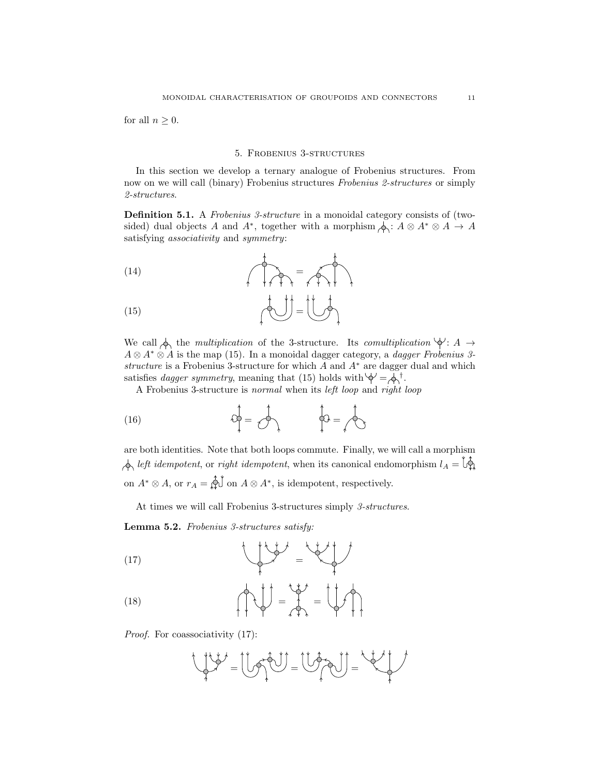for all  $n \geq 0$ .

#### 5. Frobenius 3-structures

In this section we develop a ternary analogue of Frobenius structures. From now on we will call (binary) Frobenius structures Frobenius 2-structures or simply 2-structures.

Definition 5.1. A Frobenius 3-structure in a monoidal category consists of (twosided) dual objects A and  $A^*$ , together with a morphism  $\phi: A \otimes A^* \otimes A \to A$ satisfying associativity and symmetry:

$$
(14)
$$
\n
$$
(15)
$$
\n
$$
(15)
$$

We call  $\phi$  the multiplication of the 3-structure. Its comultiplication  $\phi$ : A  $\rightarrow$  $A \otimes A^* \otimes A$  is the map (15). In a monoidal dagger category, a *dagger Frobenius 3*structure is a Frobenius 3-structure for which  $A$  and  $A^*$  are dagger dual and which satisfies *dagger symmetry*, meaning that (15) holds with  $\phi = \phi$ <sup>†</sup>.

A Frobenius 3-structure is normal when its left loop and right loop

$$
\hat{\varphi} = \hat{\varphi} \qquad \qquad \hat{\varphi} = \hat{\varphi}
$$

are both identities. Note that both loops commute. Finally, we will call a morphism  $\hat{\phi}$  left idempotent, or right idempotent, when its canonical endomorphism  $l_A = \hat{b}$ . on  $A^* \otimes A$ , or  $r_A = \bigotimes \{d \mid a \otimes A^* \mid a \in A \otimes A \}$ , is idempotent, respectively.

At times we will call Frobenius 3-structures simply 3-structures.

Lemma 5.2. Frobenius 3-structures satisfy:

$$
(17)
$$

$$
(18)
$$
\n
$$
(18)
$$

Proof. For coassociativity  $(17)$ :

$$
\bigcup_{i=1}^{n} \bigcup_{j=1}^{n} \bigcup_{j=1}^{n} \bigcup_{j=1}^{n} \bigcup_{j=1}^{n} \bigcup_{j=1}^{n} \bigcup_{j=1}^{n} \bigcup_{j=1}^{n} \bigcup_{j=1}^{n} \bigcup_{j=1}^{n} \bigcup_{j=1}^{n} \bigcup_{j=1}^{n} \bigcup_{j=1}^{n} \bigcup_{j=1}^{n} \bigcup_{j=1}^{n} \bigcup_{j=1}^{n} \bigcup_{j=1}^{n} \bigcup_{j=1}^{n} \bigcup_{j=1}^{n} \bigcup_{j=1}^{n} \bigcup_{j=1}^{n} \bigcup_{j=1}^{n} \bigcup_{j=1}^{n} \bigcup_{j=1}^{n} \bigcup_{j=1}^{n} \bigcup_{j=1}^{n} \bigcup_{j=1}^{n} \bigcup_{j=1}^{n} \bigcup_{j=1}^{n} \bigcup_{j=1}^{n} \bigcup_{j=1}^{n} \bigcup_{j=1}^{n} \bigcup_{j=1}^{n} \bigcup_{j=1}^{n} \bigcup_{j=1}^{n} \bigcup_{j=1}^{n} \bigcup_{j=1}^{n} \bigcup_{j=1}^{n} \bigcup_{j=1}^{n} \bigcup_{j=1}^{n} \bigcup_{j=1}^{n} \bigcup_{j=1}^{n} \bigcup_{j=1}^{n} \bigcup_{j=1}^{n} \bigcup_{j=1}^{n} \bigcup_{j=1}^{n} \bigcup_{j=1}^{n} \bigcup_{j=1}^{n} \bigcup_{j=1}^{n} \bigcup_{j=1}^{n} \bigcup_{j=1}^{n} \bigcup_{j=1}^{n} \bigcup_{j=1}^{n} \bigcup_{j=1}^{n} \bigcup_{j=1}^{n} \bigcup_{j=1}^{n} \bigcup_{j=1}^{n} \bigcup_{j=1}^{n} \bigcup_{j=1}^{n} \bigcup_{j=1}^{n} \bigcup_{j=1}^{n} \bigcup_{j=1}^{n} \bigcup_{j=1}^{n} \bigcup_{j=1}^{n} \bigcup_{j=1}^{n} \bigcup_{j=1}^{n} \bigcup_{j=1}^{n} \bigcup_{j=1}^{n} \bigcup_{j=1}^{n} \
$$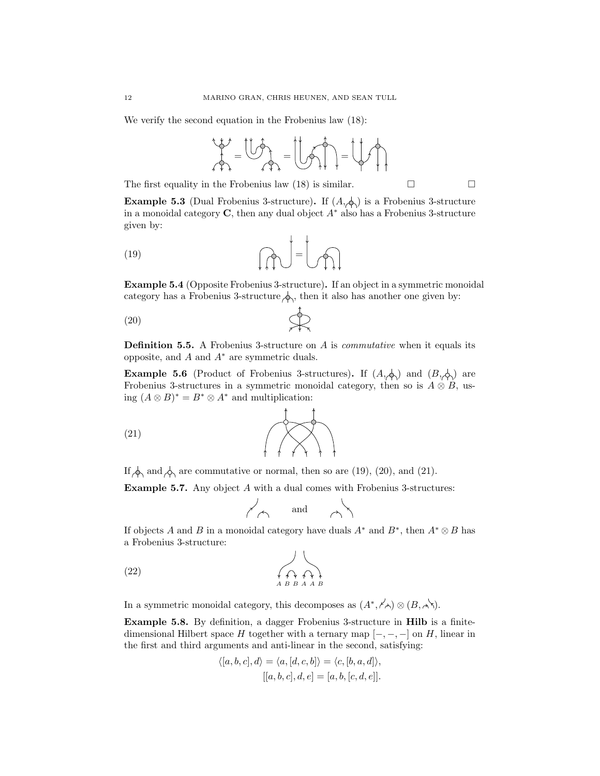We verify the second equation in the Frobenius law (18):

$$
\frac{1}{\sqrt{2}}\frac{1}{\sqrt{2}} = \frac{1}{\sqrt{2}}\frac{1}{\sqrt{2}} = \frac{1}{\sqrt{2}}\frac{1}{\sqrt{2}} = \frac{1}{\sqrt{2}}\frac{1}{\sqrt{2}}
$$

The first equality in the Frobenius law (18) is similar.  $\Box$ 

**Example 5.3** (Dual Frobenius 3-structure). If  $(A, \phi)$  is a Frobenius 3-structure in a monoidal category  $\mathbf C$ , then any dual object  $A^*$  also has a Frobenius 3-structure given by:

 $\mathbf{r} = \mathbf{r}$ 

$$
(19)
$$

Example 5.4 (Opposite Frobenius 3-structure). If an object in a symmetric monoidal category has a Frobenius 3-structure  $\phi_1$ , then it also has another one given by:

$$
(20)
$$

**Definition 5.5.** A Frobenius 3-structure on  $A$  is *commutative* when it equals its opposite, and  $A$  and  $A^*$  are symmetric duals.

**Example 5.6** (Product of Frobenius 3-structures). If  $(A, \phi)$  and  $(B, \phi)$  are Frobenius 3-structures in a symmetric monoidal category, then so is  $A \otimes B$ , using  $(A \otimes B)^* = B^* \otimes A^*$  and multiplication:

$$
(21)
$$

If  $\phi_1$  and  $\phi_2$  are commutative or normal, then so are (19), (20), and (21).

Example 5.7. Any object A with a dual comes with Frobenius 3-structures:

$$
\overline{\phantom{0}}\uparrow\hspace{0.25cm}\uparrow\hspace{0.25cm}\text{and}\hspace{0.25cm}\overline{\phantom{0}}\uparrow\hspace{0.25cm}\uparrow\hspace{0.25cm}\uparrow
$$

If objects A and B in a monoidal category have duals  $A^*$  and  $B^*$ , then  $A^* \otimes B$  has a Frobenius 3-structure:

$$
(22) \qquad \qquad \overbrace{A \ B \ B \ A \ A \ B}
$$

In a symmetric monoidal category, this decomposes as  $(A^*, \nearrow_{\triangle}) \otimes (B, \nearrow)$ .

Example 5.8. By definition, a dagger Frobenius 3-structure in Hilb is a finitedimensional Hilbert space H together with a ternary map  $[-, -, -]$  on H, linear in the first and third arguments and anti-linear in the second, satisfying:

$$
\langle [a, b, c], d \rangle = \langle a, [d, c, b] \rangle = \langle c, [b, a, d] \rangle,
$$

$$
[[a, b, c], d, e] = [a, b, [c, d, e]].
$$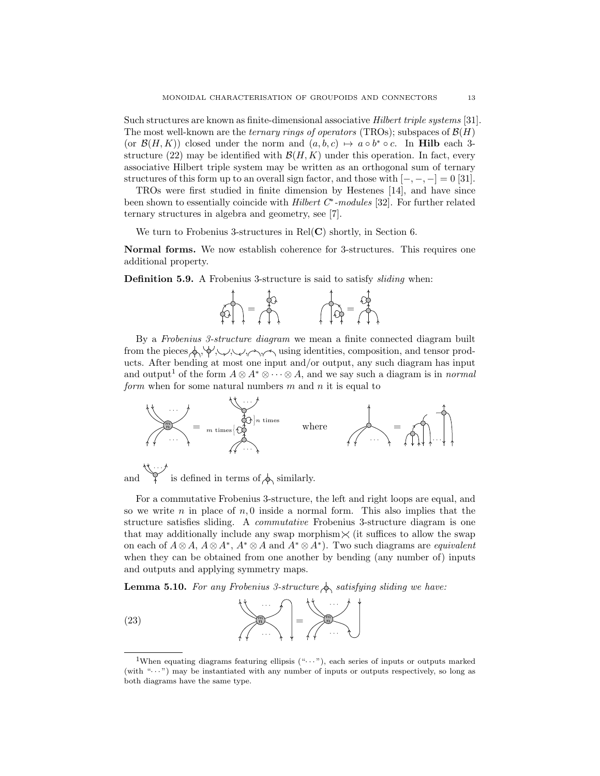Such structures are known as finite-dimensional associative Hilbert triple systems [31]. The most well-known are the *ternary rings of operators* (TROs); subspaces of  $\mathcal{B}(H)$ (or  $\mathcal{B}(H,K)$ ) closed under the norm and  $(a, b, c) \mapsto a \circ b^* \circ c$ . In **Hilb** each 3structure (22) may be identified with  $\mathcal{B}(H, K)$  under this operation. In fact, every associative Hilbert triple system may be written as an orthogonal sum of ternary structures of this form up to an overall sign factor, and those with  $[-, -, -] = 0$  [31].

TROs were first studied in finite dimension by Hestenes [14], and have since been shown to essentially coincide with *Hilbert C<sup>∗</sup>-modules* [32]. For further related ternary structures in algebra and geometry, see [7].

We turn to Frobenius 3-structures in  $Rel(C)$  shortly, in Section 6.

Normal forms. We now establish coherence for 3-structures. This requires one additional property.

Definition 5.9. A Frobenius 3-structure is said to satisfy sliding when:



By a Frobenius 3-structure diagram we mean a finite connected diagram built from the pieces  $\phi$ ,  $\phi'$ ,  $\psi'$ ,  $\psi'$ ,  $\psi'$  using identities, composition, and tensor products. After bending at most one input and/or output, any such diagram has input and output<sup>1</sup> of the form  $A \otimes A^* \otimes \cdots \otimes A$ , and we say such a diagram is in *normal* form when for some natural numbers  $m$  and  $n$  it is equal to



and · · · is defined in terms of  $\phi$  similarly.

For a commutative Frobenius 3-structure, the left and right loops are equal, and so we write n in place of  $n, 0$  inside a normal form. This also implies that the structure satisfies sliding. A commutative Frobenius 3-structure diagram is one that may additionally include any swap morphism  $\times$  (it suffices to allow the swap on each of  $A \otimes A$ ,  $A \otimes A^*$ ,  $A^* \otimes A$  and  $A^* \otimes A^*$ ). Two such diagrams are *equivalent* when they can be obtained from one another by bending (any number of) inputs and outputs and applying symmetry maps.

**Lemma 5.10.** For any Frobenius 3-structure  $\phi$  satisfying sliding we have:



<sup>&</sup>lt;sup>1</sup>When equating diagrams featuring ellipsis  $(*...")$ , each series of inputs or outputs marked (with " $\cdots$ ") may be instantiated with any number of inputs or outputs respectively, so long as both diagrams have the same type.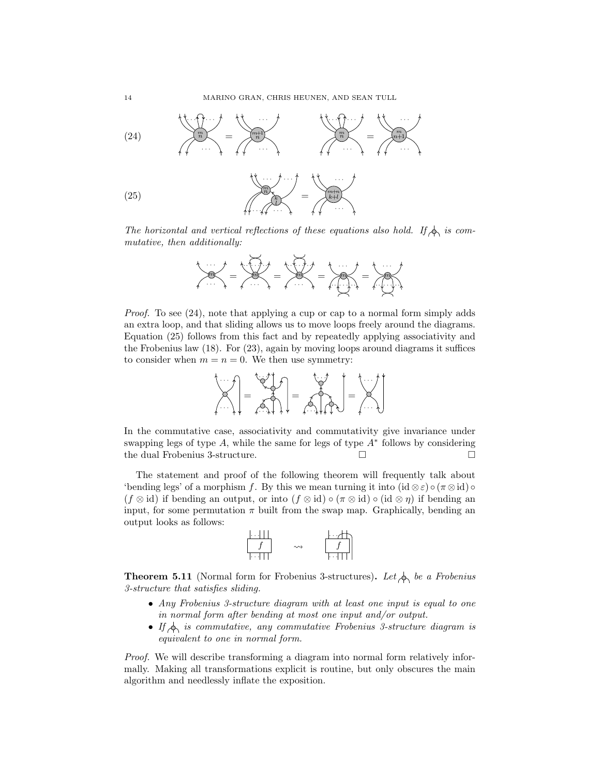

The horizontal and vertical reflections of these equations also hold. If  $\oint$  is commutative, then additionally:



Proof. To see (24), note that applying a cup or cap to a normal form simply adds an extra loop, and that sliding allows us to move loops freely around the diagrams. Equation (25) follows from this fact and by repeatedly applying associativity and the Frobenius law (18). For (23), again by moving loops around diagrams it suffices to consider when  $m = n = 0$ . We then use symmetry:



In the commutative case, associativity and commutativity give invariance under swapping legs of type  $A$ , while the same for legs of type  $A^*$  follows by considering the dual Frobenius 3-structure.  $\Box$ 

The statement and proof of the following theorem will frequently talk about 'bending legs' of a morphism f. By this we mean turning it into  $(id \otimes \varepsilon) \circ (\pi \otimes id) \circ$  $(f \otimes id)$  if bending an output, or into  $(f \otimes id) \circ (\pi \otimes id) \circ (id \otimes \eta)$  if bending an input, for some permutation  $\pi$  built from the swap map. Graphically, bending an output looks as follows:

$$
\begin{array}{c}\n\begin{array}{ccc}\n\cdots & \cdots & \cdots & \cdots \\
f & \searrow & \qquad & \uparrow \\
\hline\n\cdots & \uparrow & \qquad & \cdots\n\end{array}\n\end{array}
$$

**Theorem 5.11** (Normal form for Frobenius 3-structures). Let  $\oint_C$  be a Frobenius 3-structure that satisfies sliding.

- Any Frobenius 3-structure diagram with at least one input is equal to one in normal form after bending at most one input and/or output.
- If  $\Diamond$  is commutative, any commutative Frobenius 3-structure diagram is equivalent to one in normal form.

Proof. We will describe transforming a diagram into normal form relatively informally. Making all transformations explicit is routine, but only obscures the main algorithm and needlessly inflate the exposition.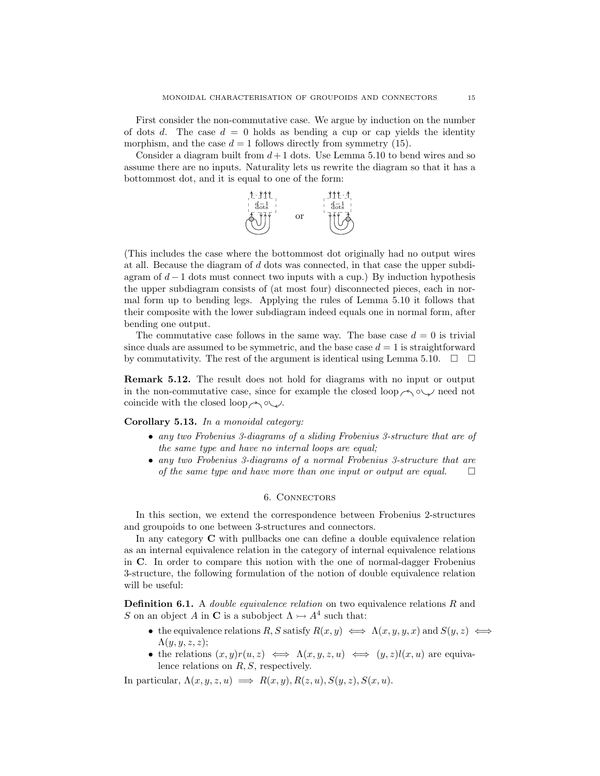First consider the non-commutative case. We argue by induction on the number of dots d. The case  $d = 0$  holds as bending a cup or cap yields the identity morphism, and the case  $d = 1$  follows directly from symmetry (15).

Consider a diagram built from  $d+1$  dots. Use Lemma 5.10 to bend wires and so assume there are no inputs. Naturality lets us rewrite the diagram so that it has a bottommost dot, and it is equal to one of the form:



(This includes the case where the bottommost dot originally had no output wires at all. Because the diagram of d dots was connected, in that case the upper subdiagram of  $d-1$  dots must connect two inputs with a cup.) By induction hypothesis the upper subdiagram consists of (at most four) disconnected pieces, each in normal form up to bending legs. Applying the rules of Lemma 5.10 it follows that their composite with the lower subdiagram indeed equals one in normal form, after bending one output.

The commutative case follows in the same way. The base case  $d = 0$  is trivial since duals are assumed to be symmetric, and the base case  $d = 1$  is straightforward by commutativity. The rest of the argument is identical using Lemma 5.10.  $\Box$ 

Remark 5.12. The result does not hold for diagrams with no input or output in the non-commutative case, since for example the closed loop  $\sim \infty$  need not coincide with the closed loop  $\land \circ \lor$ .

# Corollary 5.13. In a monoidal category:

- any two Frobenius 3-diagrams of a sliding Frobenius 3-structure that are of the same type and have no internal loops are equal;
- any two Frobenius 3-diagrams of a normal Frobenius 3-structure that are of the same type and have more than one input or output are equal.  $\Box$

## 6. Connectors

In this section, we extend the correspondence between Frobenius 2-structures and groupoids to one between 3-structures and connectors.

In any category C with pullbacks one can define a double equivalence relation as an internal equivalence relation in the category of internal equivalence relations in C. In order to compare this notion with the one of normal-dagger Frobenius 3-structure, the following formulation of the notion of double equivalence relation will be useful:

**Definition 6.1.** A *double equivalence relation* on two equivalence relations  $R$  and S on an object A in C is a subobject  $\Lambda \rightarrow A^4$  such that:

- the equivalence relations R, S satisfy  $R(x, y) \iff \Lambda(x, y, y, x)$  and  $S(y, z) \iff$  $\Lambda(y, y, z, z);$
- the relations  $(x, y)r(u, z) \iff \Lambda(x, y, z, u) \iff (y, z)l(x, u)$  are equivalence relations on  $R, S$ , respectively.

In particular,  $\Lambda(x, y, z, u) \implies R(x, y), R(z, u), S(y, z), S(x, u).$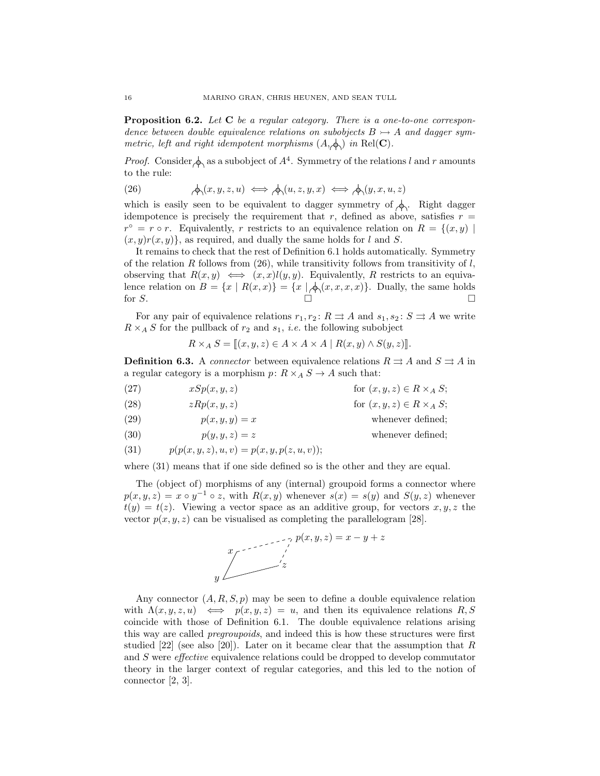**Proposition 6.2.** Let C be a regular category. There is a one-to-one correspondence between double equivalence relations on subobjects  $B \rightarrow A$  and dagger symmetric, left and right idempotent morphisms  $(A, \phi)$  in Rel(C).

*Proof.* Consider  $\oint$  as a subobject of  $A^4$ . Symmetry of the relations l and r amounts to the rule:

(26) 
$$
\bigwedge (x, y, z, u) \iff \bigwedge (u, z, y, x) \iff \bigwedge (y, x, u, z)
$$

which is easily seen to be equivalent to dagger symmetry of  $\phi$ . Right dagger idempotence is precisely the requirement that r, defined as above, satisfies  $r =$  $r^{\circ} = r \circ r$ . Equivalently, r restricts to an equivalence relation on  $R = \{(x, y) \mid$  $(x, y)r(x, y)$ , as required, and dually the same holds for l and S.

It remains to check that the rest of Definition 6.1 holds automatically. Symmetry of the relation R follows from (26), while transitivity follows from transitivity of  $l$ , observing that  $R(x, y) \iff (x, x)l(y, y)$ . Equivalently, R restricts to an equivalence relation on  $B = \{x \mid R(x,x)\} = \{x \mid \phi(x,x,x,x)\}.$  Dually, the same holds for  $S$ .

For any pair of equivalence relations  $r_1, r_2 \colon R \rightrightarrows A$  and  $s_1, s_2 \colon S \rightrightarrows A$  we write  $R \times_A S$  for the pullback of  $r_2$  and  $s_1$ , *i.e.* the following subobject

$$
R \times_A S = [[x, y, z) \in A \times A \times A \mid R(x, y) \wedge S(y, z)]]
$$

**Definition 6.3.** A *connector* between equivalence relations  $R \rightrightarrows A$  and  $S \rightrightarrows A$  in a regular category is a morphism  $p: R \times_A S \to A$  such that:

(27)  $xSp(x, y, z)$  for  $(x, y, z) \in R \times_A S$ ; (28)  $zRp(x, y, z)$  for  $(x, y, z) \in R \times_A S$ ; (29)  $p(x, y, y) = x$  whenever defined; (30)  $p(y, y, z) = z$  whenever defined;

(31) 
$$
p(p(x, y, z), u, v) = p(x, y, p(z, u, v));
$$

where  $(31)$  means that if one side defined so is the other and they are equal.

The (object of) morphisms of any (internal) groupoid forms a connector where  $p(x, y, z) = x \circ y^{-1} \circ z$ , with  $R(x, y)$  whenever  $s(x) = s(y)$  and  $S(y, z)$  whenever  $t(y) = t(z)$ . Viewing a vector space as an additive group, for vectors  $x, y, z$  the vector  $p(x, y, z)$  can be visualised as completing the parallelogram [28].



Any connector  $(A, R, S, p)$  may be seen to define a double equivalence relation with  $\Lambda(x, y, z, u) \iff p(x, y, z) = u$ , and then its equivalence relations R, S coincide with those of Definition 6.1. The double equivalence relations arising this way are called pregroupoids, and indeed this is how these structures were first studied  $[22]$  (see also  $[20]$ ). Later on it became clear that the assumption that R and S were effective equivalence relations could be dropped to develop commutator theory in the larger context of regular categories, and this led to the notion of connector [2, 3].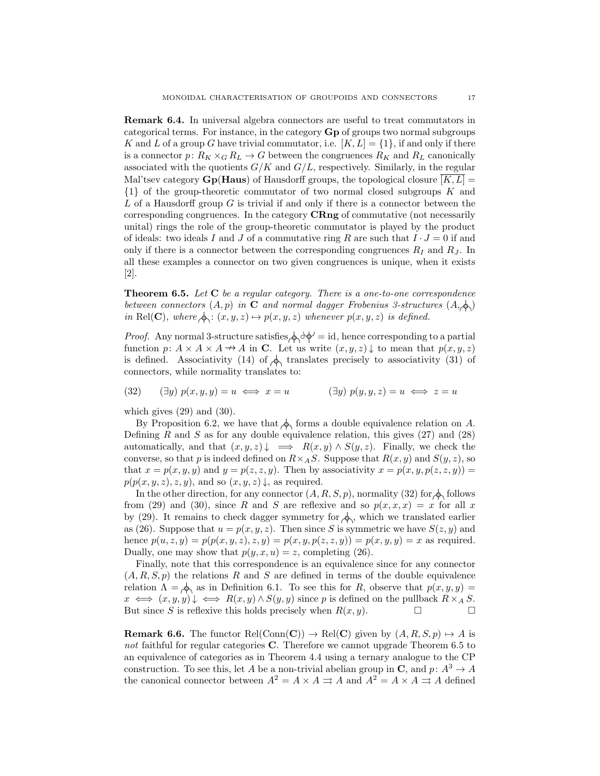Remark 6.4. In universal algebra connectors are useful to treat commutators in categorical terms. For instance, in the category Gp of groups two normal subgroups K and L of a group G have trivial commutator, i.e.  $[K, L] = \{1\}$ , if and only if there is a connector  $p: R_K \times_G R_L \to G$  between the congruences  $R_K$  and  $R_L$  canonically associated with the quotients  $G/K$  and  $G/L$ , respectively. Similarly, in the regular Mal'tsev category  $Gp(Haus)$  of Hausdorff groups, the topological closure  $[K, L] =$ {1} of the group-theoretic commutator of two normal closed subgroups K and  $L$  of a Hausdorff group  $G$  is trivial if and only if there is a connector between the corresponding congruences. In the category CRng of commutative (not necessarily unital) rings the role of the group-theoretic commutator is played by the product of ideals: two ideals I and J of a commutative ring R are such that  $I \cdot J = 0$  if and only if there is a connector between the corresponding congruences  $R_I$  and  $R_J$ . In all these examples a connector on two given congruences is unique, when it exists [2].

**Theorem 6.5.** Let  $C$  be a regular category. There is a one-to-one correspondence between connectors  $(A, p)$  in C and normal dagger Frobenius 3-structures  $(A, \diamondsuit)$ in Rel(C), where  $\phi: (x, y, z) \mapsto p(x, y, z)$  whenever  $p(x, y, z)$  is defined.

*Proof.* Any normal 3-structure satisfies  $\Diamond \Diamond \Diamond' = id$ , hence corresponding to a partial function  $p: A \times A \times A \rightarrow A$  in C. Let us write  $(x, y, z) \downarrow$  to mean that  $p(x, y, z)$ is defined. Associativity (14) of  $\phi$  translates precisely to associativity (31) of connectors, while normality translates to:

(32) 
$$
(\exists y) p(x, y, y) = u \iff x = u \qquad (\exists y) p(y, y, z) = u \iff z = u
$$

which gives  $(29)$  and  $(30)$ .

By Proposition 6.2, we have that  $\phi_1$  forms a double equivalence relation on A. Defining  $R$  and  $S$  as for any double equivalence relation, this gives  $(27)$  and  $(28)$ automatically, and that  $(x, y, z) \downarrow \implies R(x, y) \wedge S(y, z)$ . Finally, we check the converse, so that p is indeed defined on  $R \times_A S$ . Suppose that  $R(x, y)$  and  $S(y, z)$ , so that  $x = p(x, y, y)$  and  $y = p(z, z, y)$ . Then by associativity  $x = p(x, y, p(z, z, y))$  $p(p(x, y, z), z, y)$ , and so  $(x, y, z) \downarrow$ , as required.

In the other direction, for any connector  $(A, R, S, p)$ , normality (32) for  $\phi$ , follows from (29) and (30), since R and S are reflexive and so  $p(x, x, x) = x$  for all x by (29). It remains to check dagger symmetry for  $\phi$ , which we translated earlier as (26). Suppose that  $u = p(x, y, z)$ . Then since S is symmetric we have  $S(z, y)$  and hence  $p(u, z, y) = p(p(x, y, z), z, y) = p(x, y, p(z, z, y)) = p(x, y, y) = x$  as required. Dually, one may show that  $p(y, x, u) = z$ , completing (26).

Finally, note that this correspondence is an equivalence since for any connector  $(A, R, S, p)$  the relations R and S are defined in terms of the double equivalence relation  $\Lambda = \bigotimes$  as in Definition 6.1. To see this for R, observe that  $p(x, y, y) =$  $x \iff (x, y, y) \downarrow \iff R(x, y) \land S(y, y)$  since p is defined on the pullback  $R \times_A S$ . But since S is reflexive this holds precisely when  $R(x, y)$ .

**Remark 6.6.** The functor Rel(Conn(C))  $\rightarrow$  Rel(C) given by  $(A, R, S, p) \rightarrow A$  is not faithful for regular categories C. Therefore we cannot upgrade Theorem 6.5 to an equivalence of categories as in Theorem 4.4 using a ternary analogue to the CP construction. To see this, let A be a non-trivial abelian group in C, and  $p: A<sup>3</sup> \to A$ the canonical connector between  $A^2 = A \times A \rightrightarrows A$  and  $A^2 = A \times A \rightrightarrows A$  defined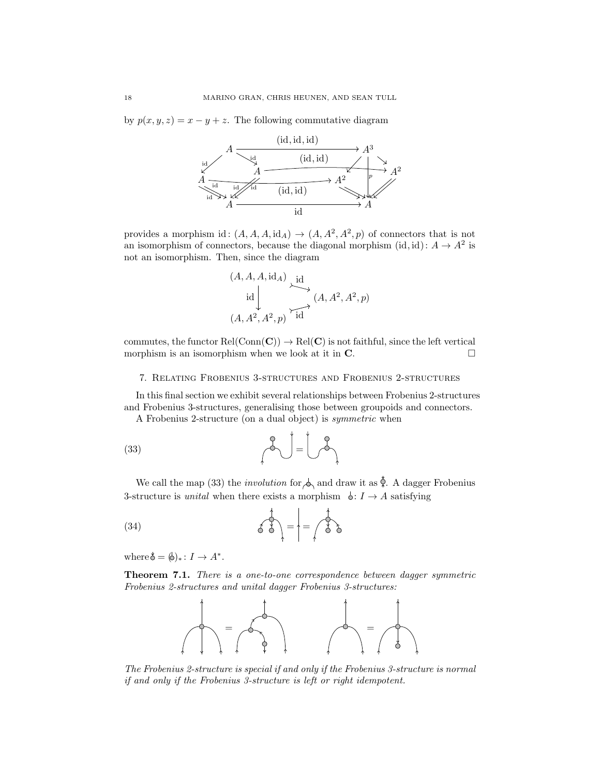by  $p(x, y, z) = x - y + z$ . The following commutative diagram



provides a morphism id:  $(A, A, A, id_A) \rightarrow (A, A^2, A^2, p)$  of connectors that is not an isomorphism of connectors, because the diagonal morphism  $(id, id): A \to A^2$  is not an isomorphism. Then, since the diagram

$$
(A, A, A, idA) \underbrace{id}_{(A, A2, A2, p)} \xrightarrow{id} (A, A2, A2, p)
$$

commutes, the functor  $Rel(Conn(C)) \rightarrow Rel(C)$  is not faithful, since the left vertical morphism is an isomorphism when we look at it in  $\mathbf{C}$ .

# 7. Relating Frobenius 3-structures and Frobenius 2-structures

In this final section we exhibit several relationships between Frobenius 2-structures and Frobenius 3-structures, generalising those between groupoids and connectors.

A Frobenius 2-structure (on a dual object) is symmetric when

$$
(33)\qquad \qquad \qquad \qquad \text{and} \qquad \qquad \text{and} \qquad \text{and} \qquad \text{and} \qquad \text{and} \qquad \text{and} \qquad \text{and} \qquad \text{and} \qquad \text{and} \qquad \text{and} \qquad \text{and} \qquad \text{and} \qquad \text{and} \qquad \text{and} \qquad \text{and} \qquad \text{and} \qquad \text{and} \qquad \text{and} \qquad \text{and} \qquad \text{and} \qquad \text{and} \qquad \text{and} \qquad \text{and} \qquad \text{and} \qquad \text{and} \qquad \text{and} \qquad \text{and} \qquad \text{and} \qquad \text{and} \qquad \text{and} \qquad \text{and} \qquad \text{and} \qquad \text{and} \qquad \text{and} \qquad \text{and} \qquad \text{and} \qquad \text{and} \qquad \text{and} \qquad \text{and} \qquad \text{and} \qquad \text{and} \qquad \text{and} \qquad \text{and} \qquad \text{and} \qquad \text{and} \qquad \text{and} \qquad \text{and} \qquad \text{and} \qquad \text{and} \qquad \text{and} \qquad \text{and} \qquad \text{and} \qquad \text{and} \qquad \text{and} \qquad \text{and} \qquad \text{and} \qquad \text{and} \qquad \text{and} \qquad \text{and} \qquad \text{and} \qquad \text{and} \qquad \text{and} \qquad \text{and} \qquad \text{and} \qquad \text{and} \qquad \text{and} \qquad \text{and} \qquad \text{and} \qquad \text{and} \qquad \text{and} \qquad \text{and} \qquad \text{and} \qquad \text{and} \qquad \text{and} \qquad \text{and} \qquad \text{and} \qquad \text{and} \qquad \text{and} \qquad \text{and} \qquad \text{and} \qquad \text{and} \qquad \text{and} \qquad \text{and} \qquad \text{and} \qquad \text{and} \qquad \text{and} \qquad \text{and} \qquad \text{and} \qquad \text{and} \qquad \text{and} \qquad \text{and} \qquad \text{and} \qquad \text{and} \
$$

We call the map (33) the *involution* for  $\Diamond$  and draw it as  $\hat{\Diamond}$ . A dagger Frobenius 3-structure is *unital* when there exists a morphism  $\phi: I \to A$  satisfying

$$
(34) \qquad \qquad \overrightarrow{\left\{ \begin{array}{c} 1 \\ 0 \end{array} \right\}} = \left\{ = \begin{array}{c} 1 \\ 0 \end{array} \right\}
$$

where  $\phi = (\phi)_* : I \to A^*$ .

Theorem 7.1. There is a one-to-one correspondence between dagger symmetric Frobenius 2-structures and unital dagger Frobenius 3-structures:



The Frobenius 2-structure is special if and only if the Frobenius 3-structure is normal if and only if the Frobenius 3-structure is left or right idempotent.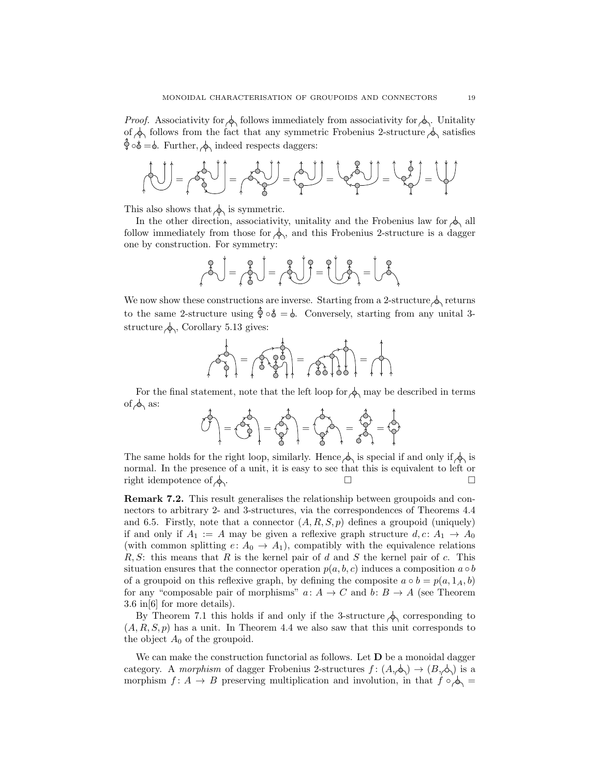*Proof.* Associativity for  $\phi$  follows immediately from associativity for  $\phi$ . Unitality of  $\phi$  follows from the fact that any symmetric Frobenius 2-structure  $\phi$  satisfies  $\hat{\varphi} \circ \delta = \phi$ . Further,  $\phi$  indeed respects daggers:

$$
\left(\frac{1}{2}\right)^{2} = \left(\frac{1}{2}\right)^{2} = \left(\frac{1}{2}\right)^{2} = \left(\frac{1}{2}\right)^{2} = \left(\frac{1}{2}\right)^{2} = \left(\frac{1}{2}\right)^{2} = \left(\frac{1}{2}\right)^{2} = \left(\frac{1}{2}\right)^{2} = \left(\frac{1}{2}\right)^{2} = \left(\frac{1}{2}\right)^{2} = \left(\frac{1}{2}\right)^{2} = \left(\frac{1}{2}\right)^{2} = \left(\frac{1}{2}\right)^{2} = \left(\frac{1}{2}\right)^{2} = \left(\frac{1}{2}\right)^{2} = \left(\frac{1}{2}\right)^{2} = \left(\frac{1}{2}\right)^{2} = \left(\frac{1}{2}\right)^{2} = \left(\frac{1}{2}\right)^{2} = \left(\frac{1}{2}\right)^{2} = \left(\frac{1}{2}\right)^{2} = \left(\frac{1}{2}\right)^{2} = \left(\frac{1}{2}\right)^{2} = \left(\frac{1}{2}\right)^{2} = \left(\frac{1}{2}\right)^{2} = \left(\frac{1}{2}\right)^{2} = \left(\frac{1}{2}\right)^{2} = \left(\frac{1}{2}\right)^{2} = \left(\frac{1}{2}\right)^{2} = \left(\frac{1}{2}\right)^{2} = \left(\frac{1}{2}\right)^{2} = \left(\frac{1}{2}\right)^{2} = \left(\frac{1}{2}\right)^{2} = \left(\frac{1}{2}\right)^{2} = \left(\frac{1}{2}\right)^{2} = \left(\frac{1}{2}\right)^{2} = \left(\frac{1}{2}\right)^{2} = \left(\frac{1}{2}\right)^{2} = \left(\frac{1}{2}\right)^{2} = \left(\frac{1}{2}\right)^{2} = \left(\frac{1}{2}\right)^{2} = \left(\frac{1}{2}\right)^{2} = \left(\frac{1}{2}\right)^{2} = \left(\frac{1}{2}\right)^{2} = \left(\frac{1}{2}\right)^{2} = \left(\frac{1}{2}\right)^{2} = \left(\frac{1}{2}\right)^{2} = \left(\frac{1}{2}\right)^{2} = \left(\frac{1}{2}\right)^{2} = \left(\frac{1}{2}\right)^{2} = \left(\frac{1}{2}\right
$$

This also shows that  $\phi$  is symmetric.

In the other direction, associativity, unitality and the Frobenius law for  $\Diamond$  all follow immediately from those for  $\Diamond$ , and this Frobenius 2-structure is a dagger one by construction. For symmetry:

$$
\text{S}\begin{pmatrix} \text{S} \\ \text{S} \end{pmatrix} = \text{S}\begin{pmatrix} \text{S} \\ \text{S} \end{pmatrix} = \text{S}\begin{pmatrix} \text{S} \\ \text{S} \end{pmatrix} = \begin{pmatrix} \text{S} \\ \text{S} \end{pmatrix} = \begin{pmatrix} \text{S} \\ \text{S} \end{pmatrix}
$$

We now show these constructions are inverse. Starting from a 2-structure  $\Diamond$  returns to the same 2-structure using  $\hat{\phi} \circ \phi = \phi$ . Conversely, starting from any unital 3structure  $\phi_0$ , Corollary 5.13 gives:

= = =

For the final statement, note that the left loop for  $\Diamond$  may be described in terms of  $\phi$  as:

$$
\hat{C} = \hat{C} = \hat{C} = \hat{C} = \hat{C} = \hat{C} = \hat{C} = \hat{C} = \hat{C} = \hat{C} = \hat{C} = \hat{C} = \hat{C} = \hat{C} = \hat{C} = \hat{C} = \hat{C} = \hat{C} = \hat{C} = \hat{C} = \hat{C} = \hat{C} = \hat{C} = \hat{C} = \hat{C} = \hat{C} = \hat{C} = \hat{C} = \hat{C} = \hat{C} = \hat{C} = \hat{C} = \hat{C} = \hat{C} = \hat{C} = \hat{C} = \hat{C} = \hat{C} = \hat{C} = \hat{C} = \hat{C} = \hat{C} = \hat{C} = \hat{C} = \hat{C} = \hat{C} = \hat{C} = \hat{C} = \hat{C} = \hat{C} = \hat{C} = \hat{C} = \hat{C} = \hat{C} = \hat{C} = \hat{C} = \hat{C} = \hat{C} = \hat{C} = \hat{C} = \hat{C} = \hat{C} = \hat{C} = \hat{C} = \hat{C} = \hat{C} = \hat{C} = \hat{C} = \hat{C} = \hat{C} = \hat{C} = \hat{C} = \hat{C} = \hat{C} = \hat{C} = \hat{C} = \hat{C} = \hat{C} = \hat{C} = \hat{C} = \hat{C} = \hat{C} = \hat{C} = \hat{C} = \hat{C} = \hat{C} = \hat{C} = \hat{C} = \hat{C} = \hat{C} = \hat{C} = \hat{C} = \hat{C} = \hat{C} = \hat{C} = \hat{C} = \hat{C} = \hat{C} = \hat{C} = \hat{C} = \hat{C} = \hat{C} = \hat{C} = \hat{C} = \hat{C} = \hat{C} = \hat{C} = \hat{C} = \hat{C} = \hat{C} = \hat{C} = \hat{C} = \hat{C} = \hat{C} = \hat{C} = \hat{C} = \hat{C} = \hat{C} = \hat{C} = \hat{C} = \hat{C} = \hat{C} = \hat{C} = \hat{C} = \hat{C} = \hat{C} = \hat{C
$$

The same holds for the right loop, similarly. Hence  $\Diamond$  is special if and only if  $\Diamond$  is normal. In the presence of a unit, it is easy to see that this is equivalent to left or right idempotence of  $\phi$ .

Remark 7.2. This result generalises the relationship between groupoids and connectors to arbitrary 2- and 3-structures, via the correspondences of Theorems 4.4 and 6.5. Firstly, note that a connector  $(A, R, S, p)$  defines a groupoid (uniquely) if and only if  $A_1 := A$  may be given a reflexive graph structure  $d, c : A_1 \rightarrow A_0$ (with common splitting  $e: A_0 \to A_1$ ), compatibly with the equivalence relations  $R, S$ : this means that R is the kernel pair of d and S the kernel pair of c. This situation ensures that the connector operation  $p(a, b, c)$  induces a composition  $a \circ b$ of a groupoid on this reflexive graph, by defining the composite  $a \circ b = p(a, 1_A, b)$ for any "composable pair of morphisms"  $a: A \to C$  and  $b: B \to A$  (see Theorem 3.6 in[6] for more details).

By Theorem 7.1 this holds if and only if the 3-structure  $\phi$  corresponding to  $(A, R, S, p)$  has a unit. In Theorem 4.4 we also saw that this unit corresponds to the object  $A_0$  of the groupoid.

We can make the construction functorial as follows. Let  $D$  be a monoidal dagger category. A morphism of dagger Frobenius 2-structures  $f : (A, \phi) \to (B, \phi)$  is a morphism  $f: A \to B$  preserving multiplication and involution, in that  $f \circ \phi$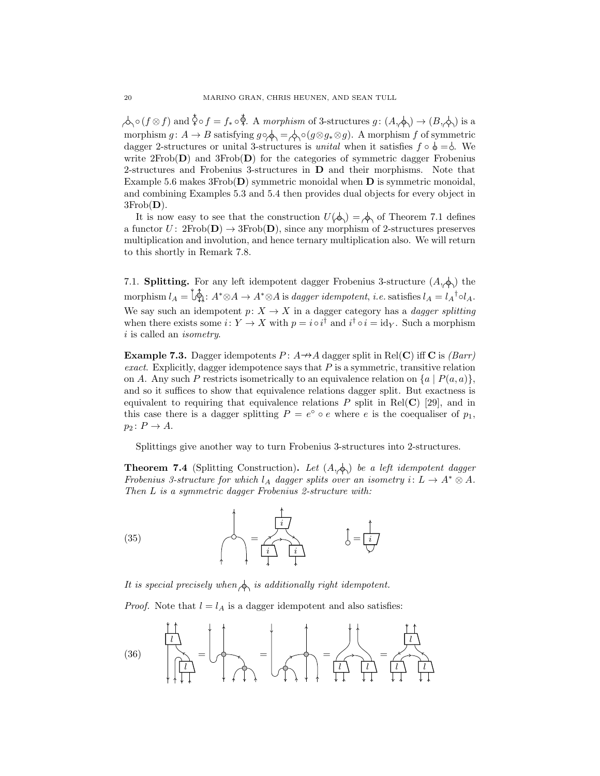$\lambda \circ (f \otimes f)$  and  $\check{\diamond} \circ f = f_* \circ \check{\diamond}$ . A morphism of 3-structures  $g : (A, \check{\diamond}) \to (B, \check{\diamond})$  is a morphism  $g: A \to B$  satisfying  $g \circ \phi = \phi \circ (g \otimes g * \otimes g)$ . A morphism f of symmetric dagger 2-structures or unital 3-structures is *unital* when it satisfies  $f \circ \phi = \phi$ . We write  $2Frob(D)$  and  $3Frob(D)$  for the categories of symmetric dagger Frobenius 2-structures and Frobenius 3-structures in D and their morphisms. Note that Example 5.6 makes  $3Frob(D)$  symmetric monoidal when  $D$  is symmetric monoidal, and combining Examples 5.3 and 5.4 then provides dual objects for every object in  $3Frob(D)$ .

It is now easy to see that the construction  $U(\phi) = \phi$  of Theorem 7.1 defines a functor  $U: 2Frob(D) \rightarrow 3Frob(D)$ , since any morphism of 2-structures preserves multiplication and involution, and hence ternary multiplication also. We will return to this shortly in Remark 7.8.

7.1. **Splitting.** For any left idempotent dagger Frobenius 3-structure  $(A, \phi)$  the morphism  $l_A = \overline{\bigcup_{A}^{\dagger}}$ :  $A^* \otimes A \rightarrow A^* \otimes A$  is dagger idempotent, i.e. satisfies  $l_A = l_A{}^{\dagger} \circ l_A$ . We say such an idempotent  $p: X \to X$  in a dagger category has a *dagger splitting* when there exists some  $i: Y \to X$  with  $p = i \circ i^{\dagger}$  and  $i^{\dagger} \circ i = id_Y$ . Such a morphism i is called an *isometry*.

**Example 7.3.** Dagger idempotents  $P: A \rightarrow A$  dagger split in Rel(C) iff C is (*Barr*) exact. Explicitly, dagger idempotence says that  $P$  is a symmetric, transitive relation on A. Any such P restricts isometrically to an equivalence relation on  $\{a \mid P(a, a)\}\,$ , and so it suffices to show that equivalence relations dagger split. But exactness is equivalent to requiring that equivalence relations  $P$  split in Rel(C) [29], and in this case there is a dagger splitting  $P = e^{\circ} \circ e$  where e is the coequaliser of  $p_1$ ,  $p_2: P \to A$ .

Splittings give another way to turn Frobenius 3-structures into 2-structures.

**Theorem 7.4** (Splitting Construction). Let  $(A, \phi)$  be a left idempotent dagger Frobenius 3-structure for which  $l_A$  dagger splits over an isometry  $i: L \to A^* \otimes A$ . Then L is a symmetric dagger Frobenius 2-structure with:



It is special precisely when  $\Diamond$  is additionally right idempotent.

*Proof.* Note that  $l = l_A$  is a dagger idempotent and also satisfies:

$$
(36)\quad \frac{\begin{pmatrix} 1 \\ 1 \\ 1 \\ 1 \end{pmatrix}}{\begin{pmatrix} 1 \\ 1 \\ 1 \end{pmatrix}} = \begin{pmatrix} 1 \\ 1 \\ 1 \end{pmatrix} = \begin{pmatrix} 1 \\ 1 \\ 1 \end{pmatrix} = \begin{pmatrix} 1 \\ 1 \\ 1 \end{pmatrix} = \begin{pmatrix} 1 \\ 1 \\ 1 \end{pmatrix} = \begin{pmatrix} 1 \\ 1 \\ 1 \end{pmatrix} = \begin{pmatrix} 1 \\ 1 \\ 1 \end{pmatrix} = \begin{pmatrix} 1 \\ 1 \\ 1 \end{pmatrix} = \begin{pmatrix} 1 \\ 1 \\ 1 \end{pmatrix} = \begin{pmatrix} 1 \\ 1 \\ 1 \end{pmatrix} = \begin{pmatrix} 1 \\ 1 \\ 1 \end{pmatrix} = \begin{pmatrix} 1 \\ 1 \\ 1 \end{pmatrix} = \begin{pmatrix} 1 \\ 1 \\ 1 \end{pmatrix} = \begin{pmatrix} 1 \\ 1 \\ 1 \end{pmatrix} = \begin{pmatrix} 1 \\ 1 \\ 1 \end{pmatrix} = \begin{pmatrix} 1 \\ 1 \\ 1 \end{pmatrix} = \begin{pmatrix} 1 \\ 1 \\ 1 \end{pmatrix} = \begin{pmatrix} 1 \\ 1 \\ 1 \end{pmatrix} = \begin{pmatrix} 1 \\ 1 \\ 1 \end{pmatrix} = \begin{pmatrix} 1 \\ 1 \\ 1 \end{pmatrix} = \begin{pmatrix} 1 \\ 1 \\ 1 \end{pmatrix} = \begin{pmatrix} 1 \\ 1 \\ 1 \end{pmatrix} = \begin{pmatrix} 1 \\ 1 \\ 1 \end{pmatrix} = \begin{pmatrix} 1 \\ 1 \\ 1 \end{pmatrix} = \begin{pmatrix} 1 \\ 1 \\ 1 \end{pmatrix} = \begin{pmatrix} 1 \\ 1 \\ 1 \end{pmatrix} = \begin{pmatrix} 1 \\ 1 \\ 1 \end{pmatrix} = \begin{pmatrix} 1 \\ 1 \\ 1 \end{pmatrix} = \begin{pmatrix} 1 \\ 1 \\ 1 \end{pmatrix} = \begin{pmatrix} 1 \\ 1 \\ 1 \end{pmatrix} = \begin{pmatrix} 1 \\ 1 \\ 1 \end{pmatrix} = \begin{pmatrix} 1 \\ 1 \\ 1 \end{pmatrix} = \begin{pmatrix} 1 \\ 1 \\ 1 \end{pmatrix} = \begin{pmatrix} 1 \\ 1 \\ 1 \end{pmatrix} = \begin{pmatrix} 1 \\ 1 \\ 1 \end
$$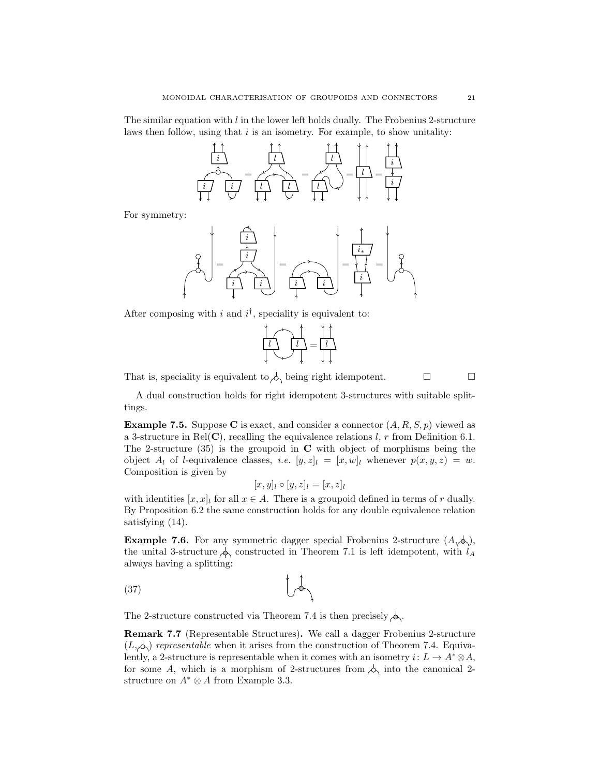The similar equation with  $l$  in the lower left holds dually. The Frobenius 2-structure laws then follow, using that  $i$  is an isometry. For example, to show unitality:



For symmetry:

= i i i i = i i = i i∗ =

After composing with i and  $i^{\dagger}$ , speciality is equivalent to:



That is, speciality is equivalent to  $\phi$  being right idempotent.  $\Box$ 

A dual construction holds for right idempotent 3-structures with suitable splittings.

**Example 7.5.** Suppose C is exact, and consider a connector  $(A, R, S, p)$  viewed as a 3-structure in Rel(C), recalling the equivalence relations l, r from Definition 6.1. The 2-structure  $(35)$  is the groupoid in C with object of morphisms being the object  $A_l$  of *l*-equivalence classes, *i.e.*  $[y, z]_l = [x, w]_l$  whenever  $p(x, y, z) = w$ . Composition is given by

$$
[x,y]_l \circ [y,z]_l = [x,z]_l
$$

with identities  $[x, x]_l$  for all  $x \in A$ . There is a groupoid defined in terms of r dually. By Proposition 6.2 the same construction holds for any double equivalence relation satisfying (14).

**Example 7.6.** For any symmetric dagger special Frobenius 2-structure  $(A, \phi)$ , the unital 3-structure  $\phi_0$  constructed in Theorem 7.1 is left idempotent, with  $l_A$ always having a splitting:

$$
\begin{array}{c}\n\text{(37)} \\
\end{array}
$$

The 2-structure constructed via Theorem 7.4 is then precisely  $\phi$ .

Remark 7.7 (Representable Structures). We call a dagger Frobenius 2-structure  $(L, \triangle)$  representable when it arises from the construction of Theorem 7.4. Equivalently, a 2-structure is representable when it comes with an isometry  $i: L \to A^* \otimes A$ , for some A, which is a morphism of 2-structures from  $\phi_1$  into the canonical 2structure on  $A^* \otimes A$  from Example 3.3.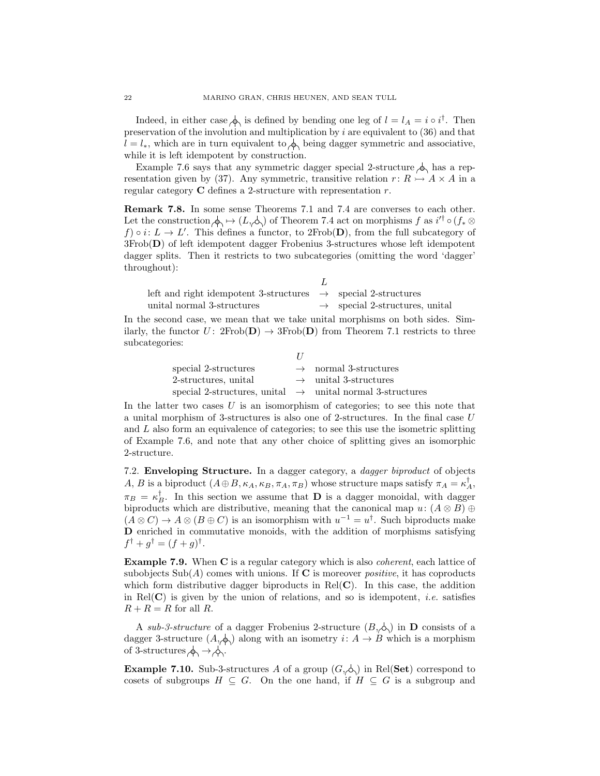Indeed, in either case  $\oint \delta$  is defined by bending one leg of  $l = l_A = i \circ i^{\dagger}$ . Then preservation of the involution and multiplication by  $i$  are equivalent to  $(36)$  and that  $l = l_*$ , which are in turn equivalent to  $\phi$  being dagger symmetric and associative, while it is left idempotent by construction.

Example 7.6 says that any symmetric dagger special 2-structure  $\phi$  has a representation given by (37). Any symmetric, transitive relation  $r: R \rightarrow A \times A$  in a regular category  $C$  defines a 2-structure with representation  $r$ .

Remark 7.8. In some sense Theorems 7.1 and 7.4 are converses to each other. Let the construction  $\phi \mapsto (L, \phi)$  of Theorem 7.4 act on morphisms f as  $i'^{\dagger} \circ (f_* \otimes$  $f$ )  $\circ i: L \to L'$ . This defines a functor, to 2Frob(D), from the full subcategory of 3Frob(D) of left idempotent dagger Frobenius 3-structures whose left idempotent dagger splits. Then it restricts to two subcategories (omitting the word 'dagger' throughout):

| left and right idempotent 3-structures $\rightarrow$ special 2-structures |                                            |
|---------------------------------------------------------------------------|--------------------------------------------|
| unital normal 3-structures                                                | $\rightarrow$ special 2-structures, unital |

In the second case, we mean that we take unital morphisms on both sides. Similarly, the functor  $U: 2Frob(D) \rightarrow 3Frob(D)$  from Theorem 7.1 restricts to three subcategories:

|                                                                       | $\prime$ |                                   |
|-----------------------------------------------------------------------|----------|-----------------------------------|
| special 2-structures                                                  |          | $\rightarrow$ normal 3-structures |
| 2-structures, unital                                                  |          | $\rightarrow$ unital 3-structures |
| special 2-structures, unital $\rightarrow$ unital normal 3-structures |          |                                   |

In the latter two cases  $U$  is an isomorphism of categories; to see this note that a unital morphism of 3-structures is also one of 2-structures. In the final case U and L also form an equivalence of categories; to see this use the isometric splitting of Example 7.6, and note that any other choice of splitting gives an isomorphic 2-structure.

7.2. Enveloping Structure. In a dagger category, a dagger biproduct of objects A, B is a biproduct  $(A \oplus B, \kappa_A, \kappa_B, \pi_A, \pi_B)$  whose structure maps satisfy  $\pi_A = \kappa_A^{\dagger}$ ,  $\pi_B = \kappa_B^{\dagger}$ . In this section we assume that **D** is a dagger monoidal, with dagger biproducts which are distributive, meaning that the canonical map  $u: (A \otimes B) \oplus$  $(A \otimes C) \to A \otimes (B \oplus C)$  is an isomorphism with  $u^{-1} = u^{\dagger}$ . Such biproducts make D enriched in commutative monoids, with the addition of morphisms satisfying  $f^{\dagger} + g^{\dagger} = (f + g)^{\dagger}.$ 

Example 7.9. When C is a regular category which is also *coherent*, each lattice of subobjects  $\text{Sub}(A)$  comes with unions. If C is moreover *positive*, it has coproducts which form distributive dagger biproducts in  $Rel(C)$ . In this case, the addition in Rel( $\bf{C}$ ) is given by the union of relations, and so is idempotent, *i.e.* satisfies  $R + R = R$  for all R.

A sub-3-structure of a dagger Frobenius 2-structure  $(B, \nightharpoonup)$  in **D** consists of a dagger 3-structure  $(A, \phi)$  along with an isometry  $i: A \rightarrow B$  which is a morphism of 3-structures  $\phi \rightarrow \phi$ .

**Example 7.10.** Sub-3-structures A of a group  $(G, \phi)$  in Rel(Set) correspond to cosets of subgroups  $H \subseteq G$ . On the one hand, if  $H \subseteq G$  is a subgroup and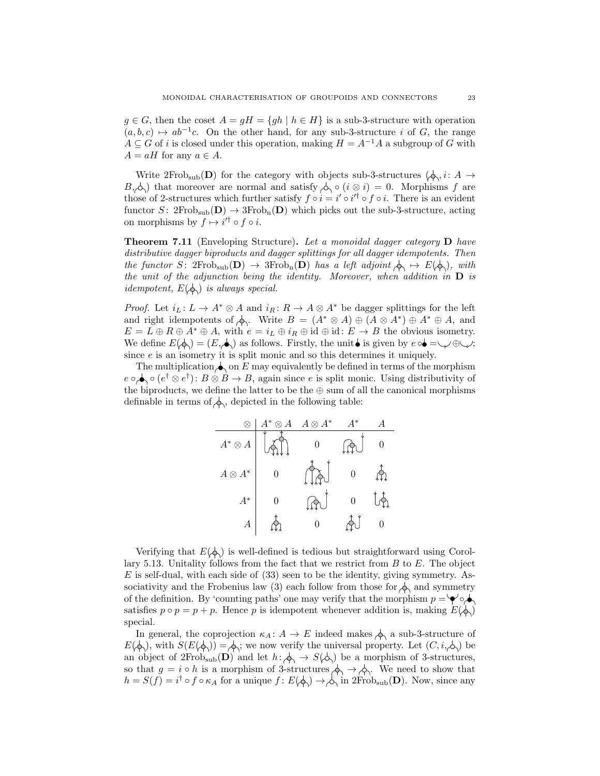$g \in G$ , then the coset  $A = gH = \{gh \mid h \in H\}$  is a sub-3-structure with operation  $(a, b, c) \mapsto ab^{-1}c$ . On the other hand, for any sub-3-structure i of G, the range  $A \subseteq G$  of i is closed under this operation, making  $H = A^{-1}A$  a subgroup of G with  $A = aH$  for any  $a \in A$ .

Write  $2Frob_{sub}(\mathbf{D})$  for the category with objects sub-3-structures  $(\phi, i: A \rightarrow$  $B_{i}(\lambda)$  that moreover are normal and satisfy  $\lambda \circ (i \otimes i) = 0$ . Morphisms f are those of 2-structures which further satisfy  $f \circ i = i' \circ i'^{\dagger} \circ f \circ i$ . There is an evident functor S:  $2Frob_{sub}(D) \rightarrow 3Frob_n(D)$  which picks out the sub-3-structure, acting on morphisms by  $f \mapsto i'^{\dagger} \circ f \circ i$ .

**Theorem 7.11** (Enveloping Structure). Let a monoidal dagger category  $D$  have distributive dagger biproducts and dagger splittings for all dagger idempotents. Then the functor S:  $2Frob_{sub}(\mathbf{D}) \rightarrow 3Frob_{in}(\mathbf{D})$  has a left adjoint  $\phi \mapsto E(\phi)$ , with the unit of the adjunction being the identity. Moreover, when addition in  $D$  is *idempotent,*  $E(\phi)$  *is always special.* 

*Proof.* Let  $i_L: L \to A^* \otimes A$  and  $i_R: R \to A \otimes A^*$  be dagger splittings for the left and right idempotents of  $\phi$ . Write  $B = (A^* \otimes A) \oplus (A \otimes A^*) \oplus A^* \oplus A$ , and  $E = L \oplus R \oplus A^* \oplus A$ , with  $e = i_L \oplus i_R \oplus id \oplus id : E \to B$  the obvious isometry. We define  $E(\phi) = (E, \dot{\phi})$  as follows. Firstly, the unit is given by  $e \circ \dot{\phi} = \dot{\psi} \circ \psi$ ; since  $e$  is an isometry it is split monic and so this determines it uniquely.

The multiplication  $\bigwedge$  on E may equivalently be defined in terms of the morphism  $e \circ \bigotimes e^{\dagger} \otimes e^{\dagger}$ :  $B \otimes B \to B$ , again since e is split monic. Using distributivity of the biproducts, we define the latter to be the  $\oplus$  sum of all the canonical morphisms definable in terms of  $\phi_0$ , depicted in the following table:

|                | $A^*\otimes A$ | $A\otimes A^*$ | $\Lambda^*$ |  |
|----------------|----------------|----------------|-------------|--|
| $A^*\otimes A$ |                |                |             |  |
| $A\otimes A^*$ |                |                |             |  |
| $A^\ast$       |                |                |             |  |
|                |                |                |             |  |

Verifying that  $E(\phi)$  is well-defined is tedious but straightforward using Corollary 5.13. Unitality follows from the fact that we restrict from  $B$  to  $E$ . The object  $E$  is self-dual, with each side of  $(33)$  seen to be the identity, giving symmetry. Associativity and the Frobenius law (3) each follow from those for  $\Diamond$  and symmetry of the definition. By 'counting paths' one may verify that the morphism  $p = \check{\bullet} \check{\bullet}$ satisfies  $p \circ p = p + p$ . Hence p is idempotent whenever addition is, making  $E(\phi)$ special.

In general, the coprojection  $\kappa_A: A \to E$  indeed makes  $\phi_A$  a sub-3-structure of  $E(\phi)$ , with  $S(E(\phi)) = \phi$ ; we now verify the universal property. Let  $(C, i, \phi)$  be an object of  $2Frob_{sub}(D)$  and let  $h: \phi_1 \to S(\phi)$  be a morphism of 3-structures, so that  $g = i \circ h$  is a morphism of 3-structures  $\phi \rightarrow \phi$ . We need to show that  $h = S(f) = i^{\dagger} \circ f \circ \kappa_A$  for a unique  $f: E(\phi) \to \phi$  in  $2Frob_{sub}(\mathbf{D})$ . Now, since any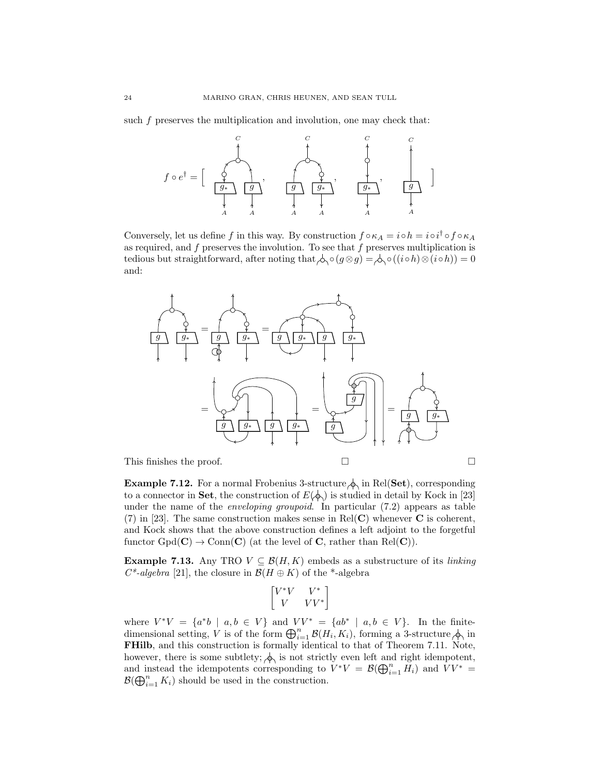such  $f$  preserves the multiplication and involution, one may check that:



Conversely, let us define f in this way. By construction  $f \circ \kappa_A = i \circ h = i \circ i^{\dagger} \circ f \circ \kappa_A$ as required, and  $f$  preserves the involution. To see that  $f$  preserves multiplication is tedious but straightforward, after noting that  $\phi \circ (g \otimes g) = \phi \circ ((i \circ h) \otimes (i \circ h)) = 0$ and:



**Example 7.12.** For a normal Frobenius 3-structure  $\phi$  in Rel(Set), corresponding to a connector in Set, the construction of  $E(\phi)$  is studied in detail by Kock in [23] under the name of the *enveloping groupoid*. In particular  $(7.2)$  appears as table (7) in [23]. The same construction makes sense in Rel(C) whenever  $C$  is coherent, and Kock shows that the above construction defines a left adjoint to the forgetful functor  $Gpd(C) \to Com(C)$  (at the level of C, rather than Rel(C)).

**Example 7.13.** Any TRO  $V \subseteq \mathcal{B}(H, K)$  embeds as a substructure of its *linking*  $C^*$ -algebra [21], the closure in  $\mathcal{B}(H \oplus K)$  of the \*-algebra

$$
\begin{bmatrix} V^*V & V^* \\ V & VV^* \end{bmatrix}
$$

where  $V^*V = \{a^*b \mid a,b \in V\}$  and  $VV^* = \{ab^* \mid a,b \in V\}$ . In the finitedimensional setting, V is of the form  $\bigoplus_{i=1}^n \mathcal{B}(H_i,K_i)$ , forming a 3-structure  $\bigwedge$  in FHilb, and this construction is formally identical to that of Theorem 7.11. Note, however, there is some subtlety;  $\phi_i$  is not strictly even left and right idempotent, and instead the idempotents corresponding to  $V^*V = \mathcal{B}(\bigoplus_{i=1}^n \tilde{H}_i)$  and  $VV^* =$  $\mathcal{B}(\bigoplus_{i=1}^n K_i)$  should be used in the construction.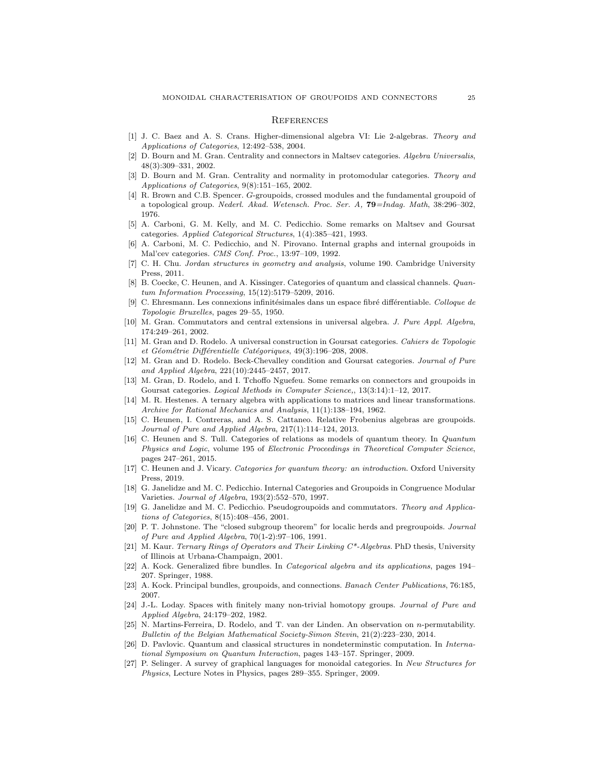#### **REFERENCES**

- [1] J. C. Baez and A. S. Crans. Higher-dimensional algebra VI: Lie 2-algebras. Theory and Applications of Categories, 12:492–538, 2004.
- [2] D. Bourn and M. Gran. Centrality and connectors in Maltsev categories. Algebra Universalis, 48(3):309–331, 2002.
- [3] D. Bourn and M. Gran. Centrality and normality in protomodular categories. Theory and Applications of Categories, 9(8):151–165, 2002.
- [4] R. Brown and C.B. Spencer. G-groupoids, crossed modules and the fundamental groupoid of a topological group. Nederl. Akad. Wetensch. Proc. Ser. A, 79=Indag. Math, 38:296–302, 1976.
- [5] A. Carboni, G. M. Kelly, and M. C. Pedicchio. Some remarks on Maltsev and Goursat categories. Applied Categorical Structures, 1(4):385–421, 1993.
- [6] A. Carboni, M. C. Pedicchio, and N. Pirovano. Internal graphs and internal groupoids in Mal'cev categories. CMS Conf. Proc., 13:97–109, 1992.
- [7] C. H. Chu. Jordan structures in geometry and analysis, volume 190. Cambridge University Press, 2011.
- [8] B. Coecke, C. Heunen, and A. Kissinger. Categories of quantum and classical channels. Quantum Information Processing, 15(12):5179–5209, 2016.
- [9] C. Ehresmann. Les connexions infinitésimales dans un espace fibré différentiable. Colloque de Topologie Bruxelles, pages 29–55, 1950.
- [10] M. Gran. Commutators and central extensions in universal algebra. J. Pure Appl. Algebra, 174:249–261, 2002.
- [11] M. Gran and D. Rodelo. A universal construction in Goursat categories. Cahiers de Topologie et Géométrie Différentielle Catégoriques, 49(3):196–208, 2008.
- [12] M. Gran and D. Rodelo. Beck-Chevalley condition and Goursat categories. Journal of Pure and Applied Algebra, 221(10):2445–2457, 2017.
- [13] M. Gran, D. Rodelo, and I. Tchoffo Nguefeu. Some remarks on connectors and groupoids in Goursat categories. Logical Methods in Computer Science,, 13(3:14):1–12, 2017.
- [14] M. R. Hestenes. A ternary algebra with applications to matrices and linear transformations. Archive for Rational Mechanics and Analysis, 11(1):138–194, 1962.
- [15] C. Heunen, I. Contreras, and A. S. Cattaneo. Relative Frobenius algebras are groupoids. Journal of Pure and Applied Algebra, 217(1):114–124, 2013.
- [16] C. Heunen and S. Tull. Categories of relations as models of quantum theory. In Quantum Physics and Logic, volume 195 of Electronic Proceedings in Theoretical Computer Science, pages 247–261, 2015.
- [17] C. Heunen and J. Vicary. Categories for quantum theory: an introduction. Oxford University Press, 2019.
- [18] G. Janelidze and M. C. Pedicchio. Internal Categories and Groupoids in Congruence Modular Varieties. Journal of Algebra, 193(2):552–570, 1997.
- [19] G. Janelidze and M. C. Pedicchio. Pseudogroupoids and commutators. Theory and Applications of Categories, 8(15):408–456, 2001.
- [20] P. T. Johnstone. The "closed subgroup theorem" for localic herds and pregroupoids. Journal of Pure and Applied Algebra, 70(1-2):97–106, 1991.
- [21] M. Kaur. Ternary Rings of Operators and Their Linking C\*-Algebras. PhD thesis, University of Illinois at Urbana-Champaign, 2001.
- [22] A. Kock. Generalized fibre bundles. In Categorical algebra and its applications, pages 194– 207. Springer, 1988.
- [23] A. Kock. Principal bundles, groupoids, and connections. Banach Center Publications, 76:185, 2007.
- [24] J.-L. Loday. Spaces with finitely many non-trivial homotopy groups. Journal of Pure and Applied Algebra, 24:179–202, 1982.
- [25] N. Martins-Ferreira, D. Rodelo, and T. van der Linden. An observation on n-permutability. Bulletin of the Belgian Mathematical Society-Simon Stevin, 21(2):223–230, 2014.
- [26] D. Pavlovic. Quantum and classical structures in nondeterminstic computation. In International Symposium on Quantum Interaction, pages 143–157. Springer, 2009.
- [27] P. Selinger. A survey of graphical languages for monoidal categories. In New Structures for Physics, Lecture Notes in Physics, pages 289–355. Springer, 2009.